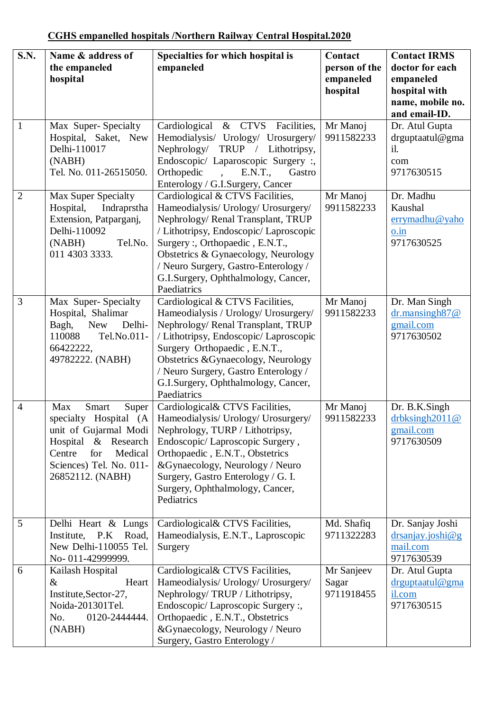| <b>S.N.</b>    | Name & address of<br>the empaneled<br>hospital                                                                                                                            | Specialties for which hospital is<br>empaneled                                                                                                                                                                                                                                                                                 | Contact<br>person of the<br>empaneled<br>hospital | <b>Contact IRMS</b><br>doctor for each<br>empaneled<br>hospital with<br>name, mobile no.<br>and email-ID. |
|----------------|---------------------------------------------------------------------------------------------------------------------------------------------------------------------------|--------------------------------------------------------------------------------------------------------------------------------------------------------------------------------------------------------------------------------------------------------------------------------------------------------------------------------|---------------------------------------------------|-----------------------------------------------------------------------------------------------------------|
| 1              | Max Super-Specialty<br>Hospital, Saket, New<br>Delhi-110017<br>(NABH)<br>Tel. No. 011-26515050.                                                                           | & CTVS Facilities,<br>Cardiological<br>Hemodialysis/ Urology/ Urosurgery/<br>Nephrology/<br>TRUP / Lithotripsy,<br>Endoscopic/ Laparoscopic Surgery :,<br>Orthopedic<br>E.N.T.,<br>Gastro<br>Enterology / G.I.Surgery, Cancer                                                                                                  | Mr Manoj<br>9911582233                            | Dr. Atul Gupta<br>drguptaatul@gma<br>il.<br>com<br>9717630515                                             |
| $\overline{2}$ | Max Super Specialty<br>Hospital,<br>Indraprstha<br>Extension, Patparganj,<br>Delhi-110092<br>(NABH)<br>Tel.No.<br>011 4303 3333.                                          | Cardiological & CTVS Facilities,<br>Hameodialysis/ Urology/ Urosurgery/<br>Nephrology/ Renal Transplant, TRUP<br>/ Lithotripsy, Endoscopic/ Laproscopic<br>Surgery:, Orthopaedic, E.N.T.,<br>Obstetrics & Gynaecology, Neurology<br>/ Neuro Surgery, Gastro-Enterology /<br>G.I.Surgery, Ophthalmology, Cancer,<br>Paediatrics | Mr Manoj<br>9911582233                            | Dr. Madhu<br>Kaushal<br>errymadhu@yaho<br>o.in<br>9717630525                                              |
| 3              | Max Super-Specialty<br>Hospital, Shalimar<br>Bagh,<br><b>New</b><br>Delhi-<br>Tel.No.011-<br>110088<br>66422222,<br>49782222. (NABH)                                      | Cardiological & CTVS Facilities,<br>Hameodialysis / Urology/ Urosurgery/<br>Nephrology/Renal Transplant, TRUP<br>/ Lithotripsy, Endoscopic/ Laproscopic<br>Surgery Orthopaedic, E.N.T.,<br>Obstetrics &Gynaecology, Neurology<br>/ Neuro Surgery, Gastro Enterology /<br>G.I.Surgery, Ophthalmology, Cancer,<br>Paediatrics    | Mr Manoj<br>9911582233                            | Dr. Man Singh<br>$dr$ .mansingh $87@$<br>gmail.com<br>9717630502                                          |
| $\overline{4}$ | Max<br>Smart<br>Super<br>specialty Hospital (A<br>unit of Gujarmal Modi<br>Hospital & Research<br>for<br>Centre<br>Medical<br>Sciences) Tel. No. 011-<br>26852112. (NABH) | Cardiological& CTVS Facilities,<br>Hameodialysis/ Urology/ Urosurgery/<br>Nephrology, TURP / Lithotripsy,<br>Endoscopic/Laproscopic Surgery,<br>Orthopaedic, E.N.T., Obstetrics<br>&Gynaecology, Neurology / Neuro<br>Surgery, Gastro Enterology / G. I.<br>Surgery, Ophthalmology, Cancer,<br>Pediatrics                      | Mr Manoj<br>9911582233                            | Dr. B.K.Singh<br>drbksingh $2011@$<br>gmail.com<br>9717630509                                             |
| 5              | Delhi Heart & Lungs<br>Institute, P.K Road,<br>New Delhi-110055 Tel.<br>No-011-42999999.                                                                                  | Cardiological & CTVS Facilities,<br>Hameodialysis, E.N.T., Laproscopic<br>Surgery                                                                                                                                                                                                                                              | Md. Shafiq<br>9711322283                          | Dr. Sanjay Joshi<br>drsanjay.joshi@g<br>mail.com<br>9717630539                                            |
| 6              | Kailash Hospital<br>$\&$<br>Heart<br>Institute, Sector-27,<br>Noida-201301Tel.<br>No.<br>0120-2444444.<br>(NABH)                                                          | Cardiological& CTVS Facilities,<br>Hameodialysis/ Urology/ Urosurgery/<br>Nephrology/TRUP / Lithotripsy,<br>Endoscopic/Laproscopic Surgery:<br>Orthopaedic, E.N.T., Obstetrics<br>&Gynaecology, Neurology / Neuro<br>Surgery, Gastro Enterology /                                                                              | Mr Sanjeev<br>Sagar<br>9711918455                 | Dr. Atul Gupta<br>drguptaatul@gma<br>il.com<br>9717630515                                                 |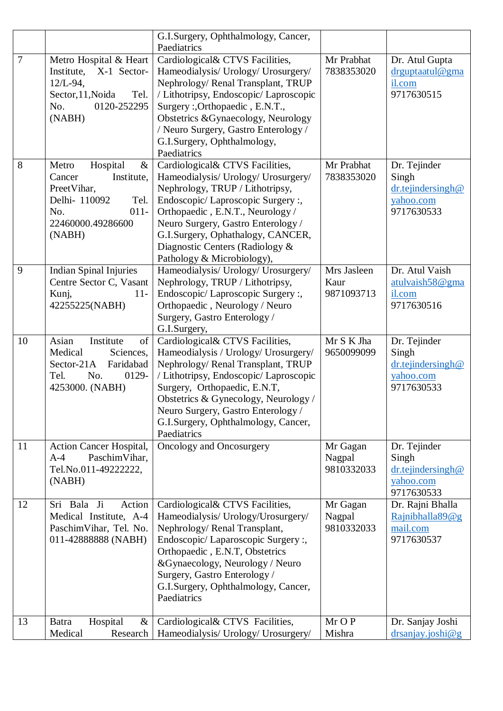|        |                                                                                                                                            | G.I.Surgery, Ophthalmology, Cancer,<br>Paediatrics                                                                                                                                                                                                                                                                            |                                   |                                                                       |
|--------|--------------------------------------------------------------------------------------------------------------------------------------------|-------------------------------------------------------------------------------------------------------------------------------------------------------------------------------------------------------------------------------------------------------------------------------------------------------------------------------|-----------------------------------|-----------------------------------------------------------------------|
| $\tau$ | Metro Hospital & Heart<br>Institute,<br>X-1 Sector-<br>$12/L - 94$ ,<br>Sector, 11, Noida<br>Tel.<br>0120-252295<br>No.<br>(NABH)          | Cardiological& CTVS Facilities,<br>Hameodialysis/ Urology/ Urosurgery/<br>Nephrology/Renal Transplant, TRUP<br>/ Lithotripsy, Endoscopic/ Laproscopic<br>Surgery:, Orthopaedic, E.N.T.,<br>Obstetrics & Gynaecology, Neurology<br>/ Neuro Surgery, Gastro Enterology /<br>G.I.Surgery, Ophthalmology,<br>Paediatrics          | Mr Prabhat<br>7838353020          | Dr. Atul Gupta<br>drguptaatul@gma<br>il.com<br>9717630515             |
| 8      | Hospital<br>$\&$<br>Metro<br>Cancer<br>Institute,<br>PreetVihar,<br>Delhi- 110092<br>Tel.<br>No.<br>$011 -$<br>22460000.49286600<br>(NABH) | Cardiological& CTVS Facilities,<br>Hameodialysis/ Urology/ Urosurgery/<br>Nephrology, TRUP / Lithotripsy,<br>Endoscopic/Laproscopic Surgery:,<br>Orthopaedic, E.N.T., Neurology /<br>Neuro Surgery, Gastro Enterology /<br>G.I.Surgery, Ophathalogy, CANCER,<br>Diagnostic Centers (Radiology &<br>Pathology & Microbiology), | Mr Prabhat<br>7838353020          | Dr. Tejinder<br>Singh<br>dr.tejindersingh@<br>yahoo.com<br>9717630533 |
| 9      | <b>Indian Spinal Injuries</b><br>Centre Sector C, Vasant<br>$11 -$<br>Kunj,<br>42255225(NABH)                                              | Hameodialysis/ Urology/ Urosurgery/<br>Nephrology, TRUP / Lithotripsy,<br>Endoscopic/ Laproscopic Surgery:,<br>Orthopaedic, Neurology / Neuro<br>Surgery, Gastro Enterology /<br>G.I.Surgery,                                                                                                                                 | Mrs Jasleen<br>Kaur<br>9871093713 | Dr. Atul Vaish<br>atulvaish58@gma<br>il.com<br>9717630516             |
| 10     | Asian<br>Institute<br>of<br>Medical<br>Sciences,<br>Sector-21A<br>Faridabad<br>No.<br>0129-<br>Tel.<br>4253000. (NABH)                     | Cardiological& CTVS Facilities,<br>Hameodialysis / Urology/ Urosurgery/<br>Nephrology/Renal Transplant, TRUP<br>/ Lithotripsy, Endoscopic/ Laproscopic<br>Surgery, Orthopaedic, E.N.T,<br>Obstetrics & Gynecology, Neurology /<br>Neuro Surgery, Gastro Enterology /<br>G.I.Surgery, Ophthalmology, Cancer,<br>Paediatrics    | Mr S K Jha<br>9650099099          | Dr. Tejinder<br>Singh<br>dr.tejindersingh@<br>yahoo.com<br>9717630533 |
| 11     | Action Cancer Hospital,<br>PaschimVihar,<br>$A-4$<br>Tel.No.011-492222222,<br>(NABH)                                                       | Oncology and Oncosurgery                                                                                                                                                                                                                                                                                                      | Mr Gagan<br>Nagpal<br>9810332033  | Dr. Tejinder<br>Singh<br>dr.tejindersingh@<br>yahoo.com<br>9717630533 |
| 12     | Sri Bala Ji<br>Action<br>Medical Institute, A-4<br>PaschimVihar, Tel. No.<br>011-42888888 (NABH)                                           | Cardiological & CTVS Facilities,<br>Hameodialysis/ Urology/Urosurgery/<br>Nephrology/Renal Transplant,<br>Endoscopic/ Laparoscopic Surgery:<br>Orthopaedic, E.N.T, Obstetrics<br>&Gynaecology, Neurology / Neuro<br>Surgery, Gastro Enterology /<br>G.I.Surgery, Ophthalmology, Cancer,<br>Paediatrics                        | Mr Gagan<br>Nagpal<br>9810332033  | Dr. Rajni Bhalla<br>Rajnibhalla89@g<br>mail.com<br>9717630537         |
| 13     | Hospital<br>$\&$<br><b>Batra</b><br>Medical<br>Research                                                                                    | Cardiological& CTVS Facilities,<br>Hameodialysis/ Urology/ Urosurgery/                                                                                                                                                                                                                                                        | Mr O P<br>Mishra                  | Dr. Sanjay Joshi<br>drsanjay.joshi@g                                  |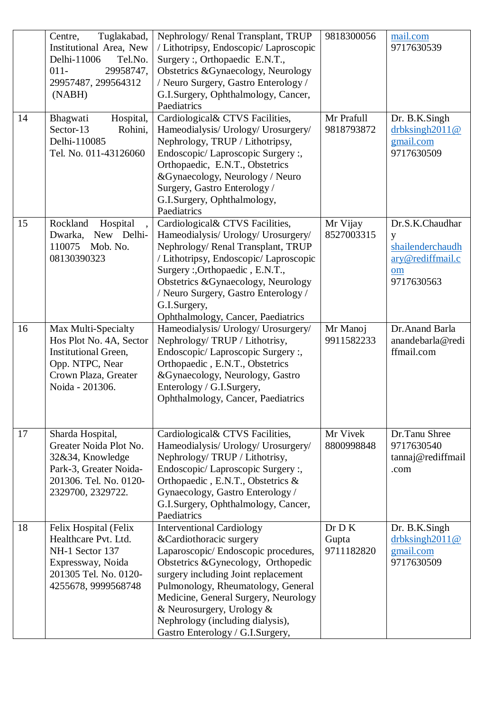|    | Tuglakabad,<br>Centre,<br>Institutional Area, New<br>Delhi-11006<br>Tel.No.<br>$011 -$<br>29958747,<br>29957487, 299564312<br>(NABH)        | Nephrology/ Renal Transplant, TRUP<br>/ Lithotripsy, Endoscopic/ Laproscopic<br>Surgery:, Orthopaedic E.N.T.,<br>Obstetrics &Gynaecology, Neurology<br>/ Neuro Surgery, Gastro Enterology /<br>G.I.Surgery, Ophthalmology, Cancer,<br>Paediatrics                                                                                                                     | 9818300056                    | mail.com<br>9717630539                                                           |
|----|---------------------------------------------------------------------------------------------------------------------------------------------|-----------------------------------------------------------------------------------------------------------------------------------------------------------------------------------------------------------------------------------------------------------------------------------------------------------------------------------------------------------------------|-------------------------------|----------------------------------------------------------------------------------|
| 14 | Hospital,<br>Bhagwati<br>Sector-13<br>Rohini,<br>Delhi-110085<br>Tel. No. 011-43126060                                                      | Cardiological& CTVS Facilities,<br>Hameodialysis/ Urology/ Urosurgery/<br>Nephrology, TRUP / Lithotripsy,<br>Endoscopic/Laproscopic Surgery:<br>Orthopaedic, E.N.T., Obstetrics<br>&Gynaecology, Neurology / Neuro<br>Surgery, Gastro Enterology /<br>G.I.Surgery, Ophthalmology,<br>Paediatrics                                                                      | Mr Prafull<br>9818793872      | Dr. B.K.Singh<br>$drb$ ksingh $2011@$<br>gmail.com<br>9717630509                 |
| 15 | Rockland<br>Hospital<br>New Delhi-<br>Dwarka,<br>110075<br>Mob. No.<br>08130390323                                                          | Cardiological& CTVS Facilities,<br>Hameodialysis/ Urology/ Urosurgery/<br>Nephrology/Renal Transplant, TRUP<br>/ Lithotripsy, Endoscopic/ Laproscopic<br>Surgery: Orthopaedic, E.N.T.,<br>Obstetrics &Gynaecology, Neurology<br>/ Neuro Surgery, Gastro Enterology /<br>G.I.Surgery,<br>Ophthalmology, Cancer, Paediatrics                                            | Mr Vijay<br>8527003315        | Dr.S.K.Chaudhar<br>y<br>shailenderchaudh<br>ary@rediffmail.c<br>om<br>9717630563 |
| 16 | Max Multi-Specialty<br>Hos Plot No. 4A, Sector<br><b>Institutional Green,</b><br>Opp. NTPC, Near<br>Crown Plaza, Greater<br>Noida - 201306. | Hameodialysis/ Urology/ Urosurgery/<br>Nephrology/TRUP / Lithotrisy,<br>Endoscopic/ Laproscopic Surgery:,<br>Orthopaedic, E.N.T., Obstetrics<br>&Gynaecology, Neurology, Gastro<br>Enterology / G.I.Surgery,<br>Ophthalmology, Cancer, Paediatrics                                                                                                                    | Mr Manoj<br>9911582233        | Dr. Anand Barla<br>anandebarla@redi<br>ffmail.com                                |
| 17 | Sharda Hospital,<br>Greater Noida Plot No.<br>32&34, Knowledge<br>Park-3, Greater Noida-<br>201306. Tel. No. 0120-<br>2329700, 2329722.     | Cardiological & CTVS Facilities,<br>Hameodialysis/ Urology/ Urosurgery/<br>Nephrology/TRUP / Lithotrisy,<br>Endoscopic/Laproscopic Surgery:<br>Orthopaedic, E.N.T., Obstetrics &<br>Gynaecology, Gastro Enterology /<br>G.I.Surgery, Ophthalmology, Cancer,<br>Paediatrics                                                                                            | Mr Vivek<br>8800998848        | Dr.Tanu Shree<br>9717630540<br>tannaj@rediffmail<br>.com                         |
| 18 | Felix Hospital (Felix<br>Healthcare Pvt. Ltd.<br>NH-1 Sector 137<br>Expressway, Noida<br>201305 Tel. No. 0120-<br>4255678, 9999568748       | <b>Interventional Cardiology</b><br>& Cardiothoracic surgery<br>Laparoscopic/ Endoscopic procedures,<br>Obstetrics & Gynecology, Orthopedic<br>surgery including Joint replacement<br>Pulmonology, Rheumatology, General<br>Medicine, General Surgery, Neurology<br>& Neurosurgery, Urology &<br>Nephrology (including dialysis),<br>Gastro Enterology / G.I.Surgery, | Dr D K<br>Gupta<br>9711182820 | Dr. B.K.Singh<br>drbksingh $2011@$<br>gmail.com<br>9717630509                    |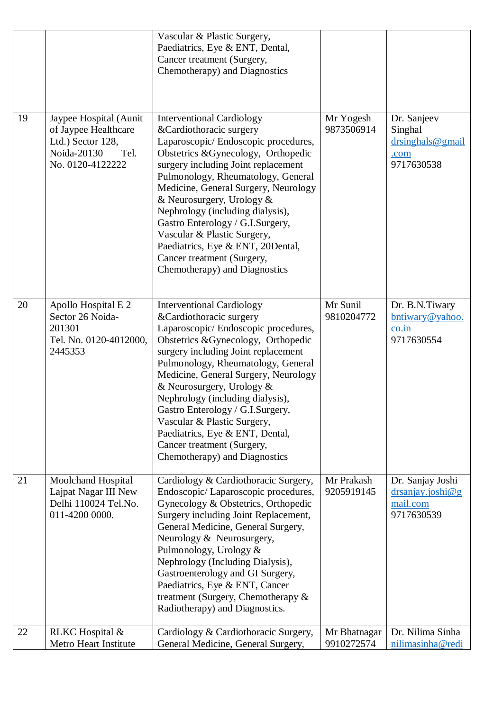|    |                                                                                                                | Vascular & Plastic Surgery,<br>Paediatrics, Eye & ENT, Dental,<br>Cancer treatment (Surgery,<br>Chemotherapy) and Diagnostics                                                                                                                                                                                                                                                                                                                                                                         |                            |                                                                      |
|----|----------------------------------------------------------------------------------------------------------------|-------------------------------------------------------------------------------------------------------------------------------------------------------------------------------------------------------------------------------------------------------------------------------------------------------------------------------------------------------------------------------------------------------------------------------------------------------------------------------------------------------|----------------------------|----------------------------------------------------------------------|
| 19 | Jaypee Hospital (Aunit<br>of Jaypee Healthcare<br>Ltd.) Sector 128,<br>Noida-20130<br>Tel.<br>No. 0120-4122222 | <b>Interventional Cardiology</b><br>&Cardiothoracic surgery<br>Laparoscopic/Endoscopic procedures,<br>Obstetrics &Gynecology, Orthopedic<br>surgery including Joint replacement<br>Pulmonology, Rheumatology, General<br>Medicine, General Surgery, Neurology<br>& Neurosurgery, Urology &<br>Nephrology (including dialysis),<br>Gastro Enterology / G.I.Surgery,<br>Vascular & Plastic Surgery,<br>Paediatrics, Eye & ENT, 20Dental,<br>Cancer treatment (Surgery,<br>Chemotherapy) and Diagnostics | Mr Yogesh<br>9873506914    | Dr. Sanjeev<br>Singhal<br>$dr\sin ghals@gmail$<br>.com<br>9717630538 |
| 20 | Apollo Hospital E 2<br>Sector 26 Noida-<br>201301<br>Tel. No. 0120-4012000,<br>2445353                         | <b>Interventional Cardiology</b><br>&Cardiothoracic surgery<br>Laparoscopic/Endoscopic procedures,<br>Obstetrics & Gynecology, Orthopedic<br>surgery including Joint replacement<br>Pulmonology, Rheumatology, General<br>Medicine, General Surgery, Neurology<br>& Neurosurgery, Urology &<br>Nephrology (including dialysis),<br>Gastro Enterology / G.I.Surgery,<br>Vascular & Plastic Surgery,<br>Paediatrics, Eye & ENT, Dental,<br>Cancer treatment (Surgery,<br>Chemotherapy) and Diagnostics  | Mr Sunil<br>9810204772     | Dr. B.N.Tiwary<br>bntiwary@yahoo.<br>co.in<br>9717630554             |
| 21 | <b>Moolchand Hospital</b><br>Lajpat Nagar III New<br>Delhi 110024 Tel.No.<br>011-4200 0000.                    | Cardiology & Cardiothoracic Surgery,<br>Endoscopic/Laparoscopic procedures,<br>Gynecology & Obstetrics, Orthopedic<br>Surgery including Joint Replacement,<br>General Medicine, General Surgery,<br>Neurology & Neurosurgery,<br>Pulmonology, Urology &<br>Nephrology (Including Dialysis),<br>Gastroenterology and GI Surgery,<br>Paediatrics, Eye & ENT, Cancer<br>treatment (Surgery, Chemotherapy $&$<br>Radiotherapy) and Diagnostics.                                                           | Mr Prakash<br>9205919145   | Dr. Sanjay Joshi<br>drsaniay. joshi@g<br>mail.com<br>9717630539      |
| 22 | RLKC Hospital &<br>Metro Heart Institute                                                                       | Cardiology & Cardiothoracic Surgery,<br>General Medicine, General Surgery,                                                                                                                                                                                                                                                                                                                                                                                                                            | Mr Bhatnagar<br>9910272574 | Dr. Nilima Sinha<br>nilimasinha@redi                                 |
|    |                                                                                                                |                                                                                                                                                                                                                                                                                                                                                                                                                                                                                                       |                            |                                                                      |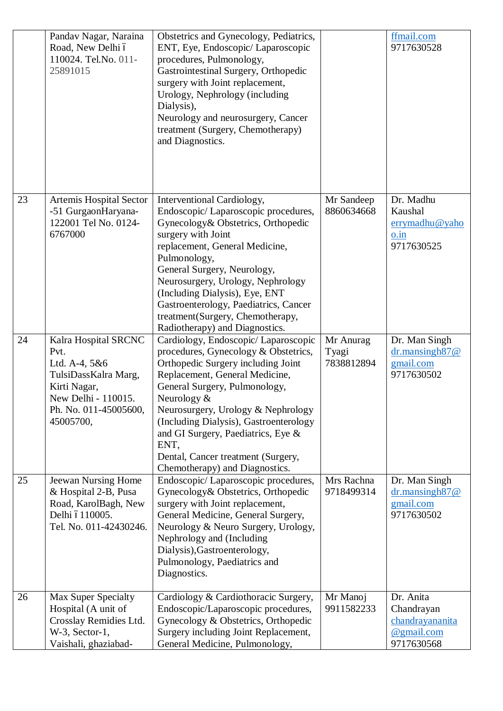|    | Pandav Nagar, Naraina<br>Road, New Delhi ó<br>110024. Tel.No. 011-<br>25891015                                                                     | Obstetrics and Gynecology, Pediatrics,<br>ENT, Eye, Endoscopic/ Laparoscopic<br>procedures, Pulmonology,<br>Gastrointestinal Surgery, Orthopedic<br>surgery with Joint replacement,<br>Urology, Nephrology (including<br>Dialysis),<br>Neurology and neurosurgery, Cancer<br>treatment (Surgery, Chemotherapy)<br>and Diagnostics.                                                                           |                                  | ffmail.com<br>9717630528                                               |
|----|----------------------------------------------------------------------------------------------------------------------------------------------------|--------------------------------------------------------------------------------------------------------------------------------------------------------------------------------------------------------------------------------------------------------------------------------------------------------------------------------------------------------------------------------------------------------------|----------------------------------|------------------------------------------------------------------------|
| 23 | Artemis Hospital Sector<br>-51 GurgaonHaryana-<br>122001 Tel No. 0124-<br>6767000                                                                  | Interventional Cardiology,<br>Endoscopic/Laparoscopic procedures,<br>Gynecology& Obstetrics, Orthopedic<br>surgery with Joint<br>replacement, General Medicine,<br>Pulmonology,<br>General Surgery, Neurology,<br>Neurosurgery, Urology, Nephrology<br>(Including Dialysis), Eye, ENT<br>Gastroenterology, Paediatrics, Cancer<br>treatment(Surgery, Chemotherapy,<br>Radiotherapy) and Diagnostics.         | Mr Sandeep<br>8860634668         | Dr. Madhu<br>Kaushal<br>errymadhu@yaho<br>o.in<br>9717630525           |
| 24 | Kalra Hospital SRCNC<br>Pvt.<br>Ltd. A-4, 5&6<br>TulsiDassKalra Marg,<br>Kirti Nagar,<br>New Delhi - 110015.<br>Ph. No. 011-45005600,<br>45005700, | Cardiology, Endoscopic/ Laparoscopic<br>procedures, Gynecology & Obstetrics,<br>Orthopedic Surgery including Joint<br>Replacement, General Medicine,<br>General Surgery, Pulmonology,<br>Neurology $&$<br>Neurosurgery, Urology & Nephrology<br>(Including Dialysis), Gastroenterology<br>and GI Surgery, Paediatrics, Eye &<br>ENT,<br>Dental, Cancer treatment (Surgery,<br>Chemotherapy) and Diagnostics. | Mr Anurag<br>Tyagi<br>7838812894 | Dr. Man Singh<br>$dr$ .mansingh $87@$<br>gmail.com<br>9717630502       |
| 25 | Jeewan Nursing Home<br>& Hospital 2-B, Pusa<br>Road, KarolBagh, New<br>Delhi ó110005.<br>Tel. No. 011-42430246.                                    | Endoscopic/Laparoscopic procedures,<br>Gynecology & Obstetrics, Orthopedic<br>surgery with Joint replacement,<br>General Medicine, General Surgery,<br>Neurology & Neuro Surgery, Urology,<br>Nephrology and (Including<br>Dialysis), Gastroenterology,<br>Pulmonology, Paediatrics and<br>Diagnostics.                                                                                                      | Mrs Rachna<br>9718499314         | Dr. Man Singh<br>$dr$ .mansingh $87@$<br>gmail.com<br>9717630502       |
| 26 | <b>Max Super Specialty</b><br>Hospital (A unit of<br>Crosslay Remidies Ltd.<br>$W-3$ , Sector-1,<br>Vaishali, ghaziabad-                           | Cardiology & Cardiothoracic Surgery,<br>Endoscopic/Laparoscopic procedures,<br>Gynecology & Obstetrics, Orthopedic<br>Surgery including Joint Replacement,<br>General Medicine, Pulmonology,                                                                                                                                                                                                                 | Mr Manoj<br>9911582233           | Dr. Anita<br>Chandrayan<br>chandrayananita<br>@gmail.com<br>9717630568 |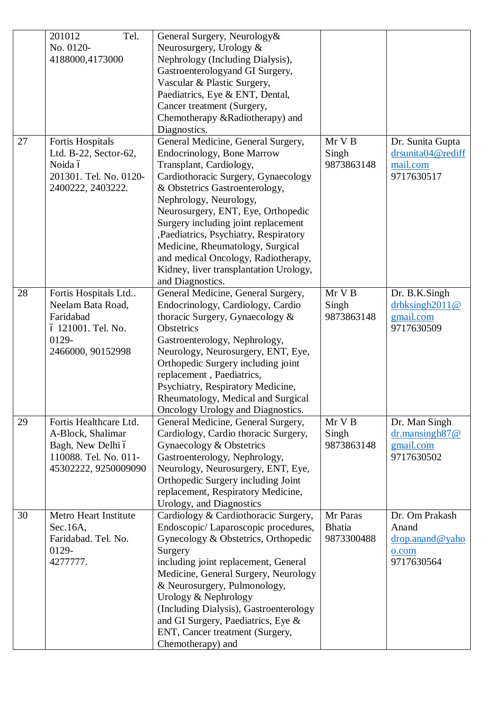|    | 201012<br>Tel.         | General Surgery, Neurology&            |               |                        |
|----|------------------------|----------------------------------------|---------------|------------------------|
|    | No. 0120-              | Neurosurgery, Urology &                |               |                        |
|    | 4188000,4173000        | Nephrology (Including Dialysis),       |               |                        |
|    |                        |                                        |               |                        |
|    |                        | Gastroenterologyand GI Surgery,        |               |                        |
|    |                        | Vascular & Plastic Surgery,            |               |                        |
|    |                        | Paediatrics, Eye & ENT, Dental,        |               |                        |
|    |                        | Cancer treatment (Surgery,             |               |                        |
|    |                        | Chemotherapy &Radiotherapy) and        |               |                        |
|    |                        | Diagnostics.                           |               |                        |
| 27 | Fortis Hospitals       | General Medicine, General Surgery,     | Mr V B        | Dr. Sunita Gupta       |
|    | Ltd. B-22, Sector-62,  | <b>Endocrinology</b> , Bone Marrow     | Singh         | drsunita04@rediff      |
|    | Noida ó                | Transplant, Cardiology,                | 9873863148    | mail.com               |
|    | 201301. Tel. No. 0120- | Cardiothoracic Surgery, Gynaecology    |               | 9717630517             |
|    | 2400222, 2403222.      | & Obstetrics Gastroenterology,         |               |                        |
|    |                        | Nephrology, Neurology,                 |               |                        |
|    |                        | Neurosurgery, ENT, Eye, Orthopedic     |               |                        |
|    |                        | Surgery including joint replacement    |               |                        |
|    |                        |                                        |               |                        |
|    |                        | , Paediatrics, Psychiatry, Respiratory |               |                        |
|    |                        | Medicine, Rheumatology, Surgical       |               |                        |
|    |                        | and medical Oncology, Radiotherapy,    |               |                        |
|    |                        | Kidney, liver transplantation Urology, |               |                        |
|    |                        | and Diagnostics.                       |               |                        |
| 28 | Fortis Hospitals Ltd   | General Medicine, General Surgery,     | Mr V B        | Dr. B.K.Singh          |
|    | Neelam Bata Road,      | Endocrinology, Cardiology, Cardio      | Singh         | drbksingh2011@         |
|    | Faridabad              | thoracic Surgery, Gynaecology &        | 9873863148    | gmail.com              |
|    | ó 121001. Tel. No.     | Obstetrics                             |               | 9717630509             |
|    | 0129-                  | Gastroenterology, Nephrology,          |               |                        |
|    | 2466000, 90152998      | Neurology, Neurosurgery, ENT, Eye,     |               |                        |
|    |                        | Orthopedic Surgery including joint     |               |                        |
|    |                        | replacement, Paediatrics,              |               |                        |
|    |                        | Psychiatry, Respiratory Medicine,      |               |                        |
|    |                        | Rheumatology, Medical and Surgical     |               |                        |
|    |                        | Oncology Urology and Diagnostics.      |               |                        |
| 29 | Fortis Healthcare Ltd. | General Medicine, General Surgery,     | Mr V B        | Dr. Man Singh          |
|    | A-Block, Shalimar      | Cardiology, Cardio thoracic Surgery,   | Singh         | $dr$ .mansingh87 $@$   |
|    | Bagh, New Delhi ó      | Gynaecology & Obstetrics               | 9873863148    | gmail.com              |
|    | 110088. Tel. No. 011-  | Gastroenterology, Nephrology,          |               | 9717630502             |
|    | 45302222, 9250009090   | Neurology, Neurosurgery, ENT, Eye,     |               |                        |
|    |                        | Orthopedic Surgery including Joint     |               |                        |
|    |                        | replacement, Respiratory Medicine,     |               |                        |
|    |                        | Urology, and Diagnostics               |               |                        |
| 30 | Metro Heart Institute  | Cardiology & Cardiothoracic Surgery,   | Mr Paras      | Dr. Om Prakash         |
|    | Sec.16A,               | Endoscopic/Laparoscopic procedures,    | <b>Bhatia</b> | Anand                  |
|    | Faridabad. Tel. No.    | Gynecology & Obstetrics, Orthopedic    | 9873300488    | drop.anand@yaho        |
|    |                        |                                        |               |                        |
|    | 0129-<br>4277777.      | Surgery                                |               | $0.$ com<br>9717630564 |
|    |                        | including joint replacement, General   |               |                        |
|    |                        | Medicine, General Surgery, Neurology   |               |                        |
|    |                        | & Neurosurgery, Pulmonology,           |               |                        |
|    |                        | Urology & Nephrology                   |               |                        |
|    |                        | (Including Dialysis), Gastroenterology |               |                        |
|    |                        | and GI Surgery, Paediatrics, Eye &     |               |                        |
|    |                        | ENT, Cancer treatment (Surgery,        |               |                        |
|    |                        | Chemotherapy) and                      |               |                        |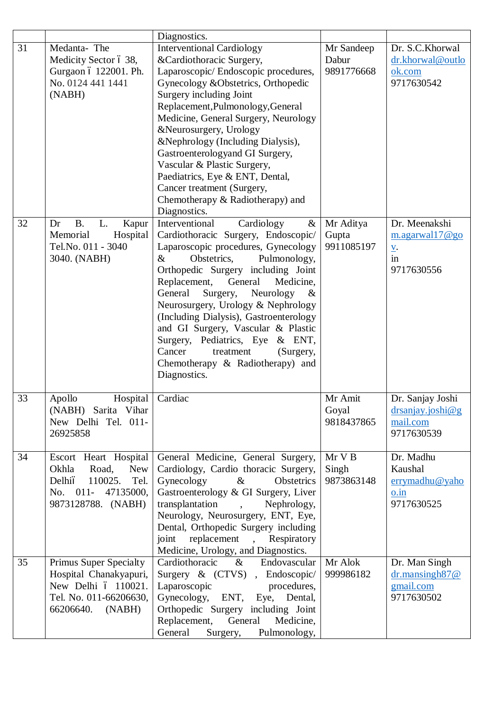|    |                                                                                                                                   | Diagnostics.                                                                                                                                                                                                                                                                                                                                                                                                                                                                                                                         |                                          |                                                                                  |
|----|-----------------------------------------------------------------------------------------------------------------------------------|--------------------------------------------------------------------------------------------------------------------------------------------------------------------------------------------------------------------------------------------------------------------------------------------------------------------------------------------------------------------------------------------------------------------------------------------------------------------------------------------------------------------------------------|------------------------------------------|----------------------------------------------------------------------------------|
| 31 | Medanta-The<br>Medicity Sector ó 38,<br>Gurgaon ó 122001. Ph.<br>No. 0124 441 1441<br>(NABH)                                      | <b>Interventional Cardiology</b><br>&Cardiothoracic Surgery,<br>Laparoscopic/ Endoscopic procedures,<br>Gynecology & Obstetrics, Orthopedic<br>Surgery including Joint<br>Replacement, Pulmonology, General<br>Medicine, General Surgery, Neurology<br>&Neurosurgery, Urology<br>&Nephrology (Including Dialysis),<br>Gastroenterologyand GI Surgery,<br>Vascular & Plastic Surgery,<br>Paediatrics, Eye & ENT, Dental,<br>Cancer treatment (Surgery,<br>Chemotherapy & Radiotherapy) and<br>Diagnostics.                            | Mr Sandeep<br>Dabur<br>9891776668        | Dr. S.C.Khorwal<br>dr.khorwal@outlo<br>ok.com<br>9717630542                      |
| 32 | <b>B.</b><br>L.<br>Kapur<br>Dr<br>Hospital<br>Memorial<br>Tel.No. 011 - 3040<br>3040. (NABH)                                      | Cardiology<br>Interventional<br>$\&$<br>Cardiothoracic Surgery, Endoscopic/<br>Laparoscopic procedures, Gynecology<br>Obstetrics,<br>$\&$<br>Pulmonology,<br>Orthopedic Surgery including Joint<br>Replacement,<br>General<br>Medicine,<br>General<br>Surgery,<br>Neurology<br>$\&$<br>Neurosurgery, Urology & Nephrology<br>(Including Dialysis), Gastroenterology<br>and GI Surgery, Vascular & Plastic<br>Surgery, Pediatrics, Eye & ENT,<br>Cancer<br>treatment<br>(Surgery,<br>Chemotherapy & Radiotherapy) and<br>Diagnostics. | Mr Aditya<br>Gupta<br>9911085197         | Dr. Meenakshi<br>m.agarwall7@go<br>$\frac{v}{in}$<br>9717630556                  |
| 33 | Hospital<br>Apollo<br>(NABH) Sarita Vihar<br>New Delhi Tel. 011-<br>26925858                                                      | Cardiac                                                                                                                                                                                                                                                                                                                                                                                                                                                                                                                              | Mr Amit<br>Goyal<br>9818437865           | Dr. Sanjay Joshi<br>drsanjay.joshi@g<br>mail.com<br>9717630539                   |
| 34 | Escort Heart Hospital<br>Okhla<br>Road,<br><b>New</b><br>Tel.<br>Delhió<br>110025.<br>No. 011-<br>47135000,<br>9873128788. (NABH) | General Medicine, General Surgery,<br>Cardiology, Cardio thoracic Surgery,<br>Gynecology<br>$\&$<br>Obstetrics<br>Gastroenterology & GI Surgery, Liver<br>transplantation<br>Nephrology,<br>$\ddot{\phantom{1}}$<br>Neurology, Neurosurgery, ENT, Eye,<br>Dental, Orthopedic Surgery including<br>replacement<br>joint<br>Respiratory<br>$\overline{\phantom{a}}$<br>Medicine, Urology, and Diagnostics.                                                                                                                             | Mr <sub>V</sub> B<br>Singh<br>9873863148 | Dr. Madhu<br>Kaushal<br>errymadhu@yaho<br>$0.\overline{\text{in}}$<br>9717630525 |
| 35 | <b>Primus Super Specialty</b><br>Hospital Chanakyapuri,<br>New Delhi ó 110021.<br>Tel. No. 011-66206630,<br>66206640.<br>(NABH)   | Cardiothoracic<br>$\&$<br>Endovascular<br>Surgery & (CTVS), Endoscopic/<br>Laparoscopic<br>procedures,<br>Gynecology,<br>Eye, Dental,<br>ENT,<br>Orthopedic Surgery including Joint<br>Replacement,<br>General<br>Medicine,<br>General<br>Surgery,<br>Pulmonology,                                                                                                                                                                                                                                                                   | Mr Alok<br>999986182                     | Dr. Man Singh<br>$dr$ .mansingh $87@$<br>gmail.com<br>9717630502                 |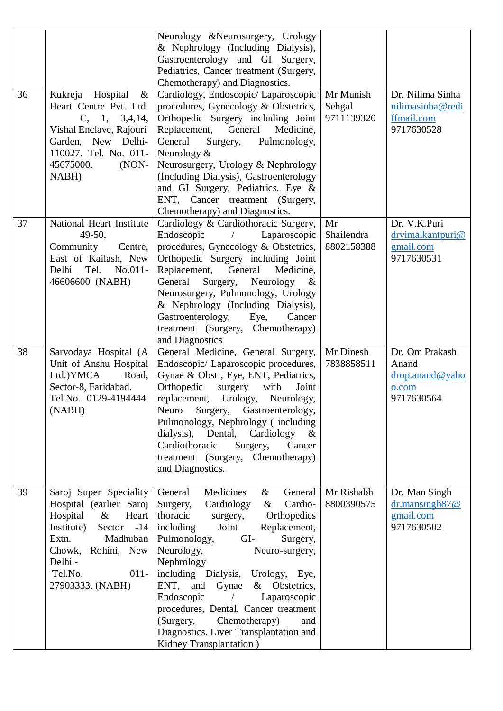| 36 | Kukreja<br>Hospital<br>$\&$<br>Heart Centre Pvt. Ltd.<br>C, 1, 3, 4, 14,<br>Vishal Enclave, Rajouri<br>Garden, New Delhi-<br>110027. Tel. No. 011-<br>45675000.<br>$(NON-$<br>NABH)                        | Neurology &Neurosurgery, Urology<br>& Nephrology (Including Dialysis),<br>Gastroenterology and GI Surgery,<br>Pediatrics, Cancer treatment (Surgery,<br>Chemotherapy) and Diagnostics.<br>Cardiology, Endoscopic/ Laparoscopic<br>procedures, Gynecology & Obstetrics,<br>Orthopedic Surgery including Joint<br>Replacement, General<br>Medicine,<br>General<br>Surgery,<br>Pulmonology,<br>Neurology $&$<br>Neurosurgery, Urology & Nephrology<br>(Including Dialysis), Gastroenterology<br>and GI Surgery, Pediatrics, Eye &<br>ENT, Cancer treatment (Surgery, | Mr Munish<br>Sehgal<br>9711139320 | Dr. Nilima Sinha<br>nilimasinha@redi<br>ffmail.com<br>9717630528              |
|----|------------------------------------------------------------------------------------------------------------------------------------------------------------------------------------------------------------|-------------------------------------------------------------------------------------------------------------------------------------------------------------------------------------------------------------------------------------------------------------------------------------------------------------------------------------------------------------------------------------------------------------------------------------------------------------------------------------------------------------------------------------------------------------------|-----------------------------------|-------------------------------------------------------------------------------|
| 37 | National Heart Institute<br>$49-50$ ,<br>Community<br>Centre,<br>East of Kailash, New<br>$No.011-$<br>Delhi<br>Tel.<br>46606600 (NABH)                                                                     | Chemotherapy) and Diagnostics.<br>Cardiology & Cardiothoracic Surgery,<br>Endoscopic<br>Laparoscopic<br>procedures, Gynecology & Obstetrics,<br>Orthopedic Surgery including Joint<br>Replacement,<br>General<br>Medicine,<br>General<br>Surgery,<br>Neurology $\&$<br>Neurosurgery, Pulmonology, Urology<br>& Nephrology (Including Dialysis),<br>Gastroenterology,<br>Eye,<br>Cancer<br>treatment (Surgery, Chemotherapy)<br>and Diagnostics                                                                                                                    | Mr<br>Shailendra<br>8802158388    | Dr. V.K.Puri<br>drvimalkantpuri@<br>gmail.com<br>9717630531                   |
| 38 | Sarvodaya Hospital (A<br>Unit of Anshu Hospital<br>Ltd.)YMCA<br>Road,<br>Sector-8, Faridabad.<br>Tel.No. 0129-4194444.<br>(NABH)                                                                           | General Medicine, General Surgery,<br>Endoscopic/ Laparoscopic procedures,<br>Gynae & Obst, Eye, ENT, Pediatrics,<br>Orthopedic<br>surgery with<br>Joint<br>replacement, Urology, Neurology,<br>Neuro Surgery, Gastroenterology,<br>Pulmonology, Nephrology (including<br>dialysis), Dental, Cardiology<br>$\&$<br>Cardiothoracic<br>Surgery,<br>Cancer<br>treatment (Surgery, Chemotherapy)<br>and Diagnostics.                                                                                                                                                  | Mr Dinesh<br>7838858511           | Dr. Om Prakash<br>Anand<br>$\text{drop.}$ anand @ yaho<br>o.com<br>9717630564 |
| 39 | Saroj Super Speciality<br>Hospital (earlier Saroj<br>Hospital<br>Heart<br>$\&$<br>Institute)<br>Sector -14<br>Madhuban<br>Extn.<br>Chowk, Rohini, New<br>Delhi -<br>Tel.No.<br>$011 -$<br>27903333. (NABH) | Medicines<br>General<br>General<br>$\&$<br>Cardiology<br>Cardio-<br>Surgery,<br>$\&$<br>thoracic<br>Orthopedics<br>surgery,<br>Joint<br>Replacement,<br>including<br>Pulmonology,<br>GI-<br>Surgery,<br>Neurology,<br>Neuro-surgery,<br>Nephrology<br>including Dialysis, Urology, Eye,<br>ENT, and Gynae & Obstetrics,<br>Endoscopic<br>Laparoscopic<br>procedures, Dental, Cancer treatment<br>(Surgery, Chemotherapy)<br>and<br>Diagnostics. Liver Transplantation and<br>Kidney Transplantation)                                                              | Mr Rishabh<br>8800390575          | Dr. Man Singh<br>$dr$ .mansingh $87@$<br>gmail.com<br>9717630502              |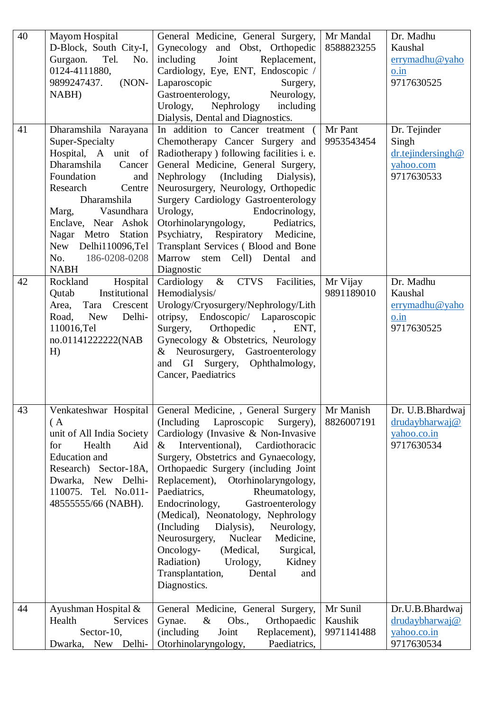| 40 | Mayom Hospital<br>D-Block, South City-I,<br>Gurgaon.<br>Tel.<br>No.<br>0124-4111880,<br>$(NON-$<br>9899247437.<br>NABH)                                                                                                                                                                 | General Medicine, General Surgery,<br>Gynecology and Obst, Orthopedic<br>Replacement,<br>including<br>Joint<br>Cardiology, Eye, ENT, Endoscopic /<br>Laparoscopic<br>Surgery,<br>Gastroenterology,<br>Neurology,<br>Urology,<br>Nephrology<br>including<br>Dialysis, Dental and Diagnostics.                                                                                                                                                                                                                                                                                                                                  | Mr Mandal<br>8588823255           | Dr. Madhu<br>Kaushal<br>errymadhu@yaho<br>o.in<br>9717630525          |
|----|-----------------------------------------------------------------------------------------------------------------------------------------------------------------------------------------------------------------------------------------------------------------------------------------|-------------------------------------------------------------------------------------------------------------------------------------------------------------------------------------------------------------------------------------------------------------------------------------------------------------------------------------------------------------------------------------------------------------------------------------------------------------------------------------------------------------------------------------------------------------------------------------------------------------------------------|-----------------------------------|-----------------------------------------------------------------------|
| 41 | Dharamshila Narayana<br>Super-Specialty<br>Hospital, A unit of<br>Dharamshila<br>Cancer<br>Foundation<br>and<br>Research<br>Centre<br>Dharamshila<br>Marg,<br>Vasundhara<br>Enclave, Near Ashok<br>Nagar Metro<br>Station<br>New Delhi110096,Tel<br>186-0208-0208<br>No.<br><b>NABH</b> | In addition to Cancer treatment (<br>Chemotherapy Cancer Surgery and<br>Radiotherapy ) following facilities i. e.<br>General Medicine, General Surgery,<br>Nephrology (Including<br>Dialysis),<br>Neurosurgery, Neurology, Orthopedic<br>Surgery Cardiology Gastroenterology<br>Urology,<br>Endocrinology,<br>Otorhinolaryngology,<br>Pediatrics,<br>Psychiatry, Respiratory Medicine,<br>Transplant Services (Blood and Bone<br>Marrow stem Cell) Dental<br>and<br>Diagnostic                                                                                                                                                | Mr Pant<br>9953543454             | Dr. Tejinder<br>Singh<br>dr.tejindersingh@<br>yahoo.com<br>9717630533 |
| 42 | Hospital<br>Rockland<br>Institutional<br>Qutab<br>Crescent<br>Area,<br>Tara<br><b>New</b><br>Delhi-<br>Road,<br>110016,Tel<br>no.01141222222(NAB<br>H)                                                                                                                                  | Cardiology $\&$<br><b>CTVS</b><br>Facilities,<br>Hemodialysis/<br>Urology/Cryosurgery/Nephrology/Lith<br>otripsy, Endoscopic/ Laparoscopic<br>Orthopedic<br>Surgery,<br>ENT,<br>Gynecology & Obstetrics, Neurology<br>Neurosurgery, Gastroenterology<br>$\&$<br>Ophthalmology,<br>and GI Surgery,<br>Cancer, Paediatrics                                                                                                                                                                                                                                                                                                      | Mr Vijay<br>9891189010            | Dr. Madhu<br>Kaushal<br>errymadhu@yaho<br>o.in<br>9717630525          |
| 43 | Venkateshwar Hospital<br>(A)<br>unit of All India Society<br>for<br>Health<br>Aid<br><b>Education</b> and<br>Research) Sector-18A,<br>Dwarka, New Delhi-<br>110075. Tel. No.011-<br>48555555/66 (NABH).                                                                                 | General Medicine, , General Surgery<br>(Including)<br>Laproscopic<br>Surgery),<br>Cardiology (Invasive & Non-Invasive<br>Interventional),<br>Cardiothoracic<br>$\&$<br>Surgery, Obstetrics and Gynaecology,<br>Orthopaedic Surgery (including Joint<br>Replacement),<br>Otorhinolaryngology,<br>Paediatrics,<br>Rheumatology,<br>Endocrinology,<br>Gastroenterology<br>(Medical), Neonatology, Nephrology<br>(Including)<br>Dialysis),<br>Neurology,<br>Neurosurgery,<br>Nuclear<br>Medicine,<br>Oncology-<br>Surgical,<br>(Medical,<br>Radiation)<br>Urology,<br>Kidney<br>Transplantation,<br>Dental<br>and<br>Diagnostics. | Mr Manish<br>8826007191           | Dr. U.B. Bhardwaj<br>drudaybharwaj@<br>yahoo.co.in<br>9717630534      |
| 44 | Ayushman Hospital &<br>Health<br>Services<br>Sector-10,<br>Dwarka,<br>New Delhi-                                                                                                                                                                                                        | General Medicine, General Surgery,<br>$\&$<br>Gynae.<br>Obs.,<br>Orthopaedic<br>(including)<br>Joint<br>Replacement),<br>Otorhinolaryngology,<br>Paediatrics,                                                                                                                                                                                                                                                                                                                                                                                                                                                                 | Mr Sunil<br>Kaushik<br>9971141488 | Dr.U.B.Bhardwaj<br>drudaybharwaj@<br>yahoo.co.in<br>9717630534        |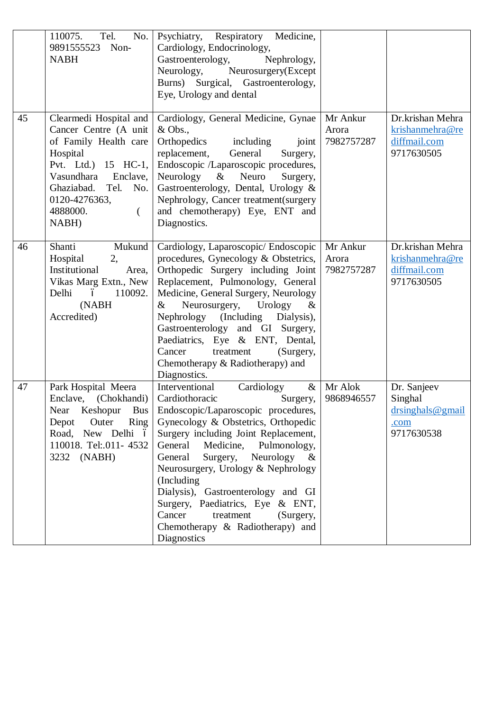|    | 110075.<br>Tel.<br>No.<br>9891555523<br>Non-<br><b>NABH</b>                                                                                                                                                       | Psychiatry, Respiratory Medicine,<br>Cardiology, Endocrinology,<br>Gastroenterology,<br>Nephrology,<br>Neurosurgery(Except<br>Neurology,<br>Burns) Surgical, Gastroenterology,<br>Eye, Urology and dental                                                                                                                                                                                                                                                                                             |                                 |                                                                     |
|----|-------------------------------------------------------------------------------------------------------------------------------------------------------------------------------------------------------------------|-------------------------------------------------------------------------------------------------------------------------------------------------------------------------------------------------------------------------------------------------------------------------------------------------------------------------------------------------------------------------------------------------------------------------------------------------------------------------------------------------------|---------------------------------|---------------------------------------------------------------------|
| 45 | Clearmedi Hospital and<br>Cancer Centre (A unit<br>of Family Health care<br>Hospital<br>Pvt. Ltd.) 15 HC-1,<br>Vasundhara<br>Enclave,<br>Ghaziabad.<br>Tel. No.<br>0120-4276363,<br>4888000.<br>$\left($<br>NABH) | Cardiology, General Medicine, Gynae<br>$&$ Obs.,<br>Orthopedics<br>including<br>joint<br>replacement,<br>General<br>Surgery,<br>Endoscopic /Laparoscopic procedures,<br>Neurology & Neuro<br>Surgery,<br>Gastroenterology, Dental, Urology &<br>Nephrology, Cancer treatment(surgery<br>and chemotherapy) Eye, ENT and<br>Diagnostics.                                                                                                                                                                | Mr Ankur<br>Arora<br>7982757287 | Dr.krishan Mehra<br>krishanmehra@re<br>diffmail.com<br>9717630505   |
| 46 | Shanti<br>Mukund<br>Hospital<br>2,<br>Institutional<br>Area,<br>Vikas Marg Extn., New<br>Delhi<br>ó<br>110092.<br>(NABH<br>Accredited)                                                                            | Cardiology, Laparoscopic/ Endoscopic<br>procedures, Gynecology & Obstetrics,<br>Orthopedic Surgery including Joint<br>Replacement, Pulmonology, General<br>Medicine, General Surgery, Neurology<br>Neurosurgery,<br>Urology<br>$\&$<br>$\&$<br>Nephrology (Including Dialysis),<br>Gastroenterology and GI Surgery,<br>Paediatrics, Eye & ENT, Dental,<br>treatment<br>Cancer<br>(Surgery,<br>Chemotherapy & Radiotherapy) and<br>Diagnostics.                                                        | Mr Ankur<br>Arora<br>7982757287 | Dr.krishan Mehra<br>krishanmehra@re<br>diffmail.com<br>9717630505   |
| 47 | Park Hospital Meera<br>Enclave, (Chokhandi)<br>Near<br>Keshopur<br><b>Bus</b><br>Outer<br>Ring<br>Depot<br>Road, New Delhi ó<br>110018. Tel:.011- 4532<br>3232 (NABH)                                             | Interventional<br>Cardiology<br>$\&$<br>Cardiothoracic<br>Surgery,<br>Endoscopic/Laparoscopic procedures,<br>Gynecology & Obstetrics, Orthopedic<br>Surgery including Joint Replacement,<br>General<br>Medicine, Pulmonology,<br>General<br>Surgery,<br>Neurology<br>$\&$<br>Neurosurgery, Urology & Nephrology<br>(Including<br>Dialysis), Gastroenterology and GI<br>Surgery, Paediatrics, Eye & ENT,<br>Cancer<br>treatment<br>(Surgery,<br>Chemotherapy & Radiotherapy) and<br><b>Diagnostics</b> | Mr Alok<br>9868946557           | Dr. Sanjeev<br>Singhal<br>$dr\singhals@gmail$<br>.com<br>9717630538 |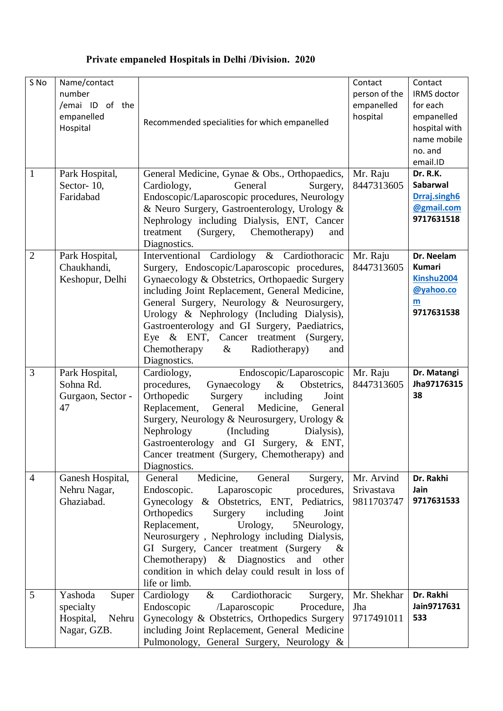## **Private empaneled Hospitals in Delhi /Division. 2020**

| S No           | Name/contact<br>number<br>/emai ID of the<br>empanelled<br>Hospital | Recommended specialities for which empanelled                                                                                                                                                                                                                                                                                                                                                                                                                 | Contact<br>person of the<br>empanelled<br>hospital | Contact<br>IRMS doctor<br>for each<br>empanelled<br>hospital with<br>name mobile<br>no. and<br>email.ID |
|----------------|---------------------------------------------------------------------|---------------------------------------------------------------------------------------------------------------------------------------------------------------------------------------------------------------------------------------------------------------------------------------------------------------------------------------------------------------------------------------------------------------------------------------------------------------|----------------------------------------------------|---------------------------------------------------------------------------------------------------------|
| 1              | Park Hospital,<br>Sector- $10$ ,<br>Faridabad                       | General Medicine, Gynae & Obs., Orthopaedics,<br>Cardiology,<br>General<br>Surgery,<br>Endoscopic/Laparoscopic procedures, Neurology<br>& Neuro Surgery, Gastroenterology, Urology &<br>Nephrology including Dialysis, ENT, Cancer<br>treatment<br>(Surgery,<br>Chemotherapy)<br>and<br>Diagnostics.                                                                                                                                                          | Mr. Raju<br>8447313605                             | Dr. R.K.<br>Sabarwal<br>Drraj.singh6<br>@gmail.com<br>9717631518                                        |
| $\overline{2}$ | Park Hospital,<br>Chaukhandi,<br>Keshopur, Delhi                    | Interventional Cardiology & Cardiothoracic<br>Surgery, Endoscopic/Laparoscopic procedures,<br>Gynaecology & Obstetrics, Orthopaedic Surgery<br>including Joint Replacement, General Medicine,<br>General Surgery, Neurology & Neurosurgery,<br>Urology & Nephrology (Including Dialysis),<br>Gastroenterology and GI Surgery, Paediatrics,<br>Eye & ENT, Cancer treatment (Surgery,<br>Chemotherapy<br>Radiotherapy)<br>$\&$<br>and<br>Diagnostics.           | Mr. Raju<br>8447313605                             | Dr. Neelam<br><b>Kumari</b><br>Kinshu2004<br>@yahoo.co<br>m<br>9717631538                               |
| 3              | Park Hospital,<br>Sohna Rd.<br>Gurgaon, Sector -<br>47              | Cardiology,<br>Endoscopic/Laparoscopic<br>Obstetrics,<br>procedures,<br>Gynaecology<br>$\&$<br>Orthopedic<br>including<br>Surgery<br>Joint<br>Replacement, General Medicine,<br>General<br>Surgery, Neurology & Neurosurgery, Urology &<br>Nephrology<br>(Including)<br>Dialysis),<br>Gastroenterology and GI Surgery, & ENT,<br>Cancer treatment (Surgery, Chemotherapy) and<br>Diagnostics.                                                                 | Mr. Raju<br>8447313605                             | Dr. Matangi<br>Jha97176315<br>38                                                                        |
| $\overline{4}$ | Ganesh Hospital,<br>Nehru Nagar,<br>Ghaziabad.                      | Medicine,<br>General<br>General<br>Surgery,<br>Laparoscopic<br>Endoscopic.<br>procedures,<br>& Obstetrics, ENT, Pediatrics,<br>Gynecology<br>Orthopedics<br>including<br>Surgery<br>Joint<br>Replacement,<br>Urology,<br>5Neurology,<br>Neurosurgery, Nephrology including Dialysis,<br>GI Surgery, Cancer treatment (Surgery<br>$\alpha$<br>Chemotherapy) $\&$ Diagnostics<br>and other<br>condition in which delay could result in loss of<br>life or limb. | Mr. Arvind<br>Srivastava<br>9811703747             | Dr. Rakhi<br>Jain<br>9717631533                                                                         |
| 5              | Yashoda<br>Super<br>specialty<br>Nehru<br>Hospital,<br>Nagar, GZB.  | Cardiology<br>$\&$<br>Cardiothoracic<br>Surgery,<br>Endoscopic<br>/Laparoscopic<br>Procedure,<br>Gynecology & Obstetrics, Orthopedics Surgery<br>including Joint Replacement, General Medicine<br>Pulmonology, General Surgery, Neurology &                                                                                                                                                                                                                   | Mr. Shekhar<br>Jha<br>9717491011                   | Dr. Rakhi<br>Jain9717631<br>533                                                                         |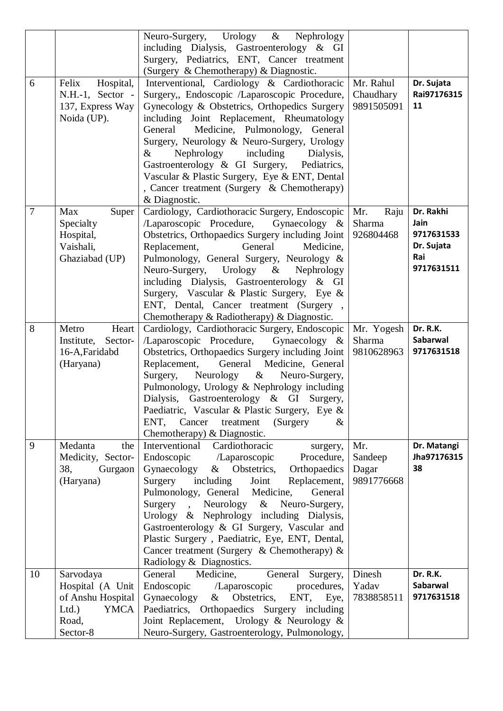|                |                        | Neuro-Surgery, Urology &<br>Nephrology                                                   |                     |                   |
|----------------|------------------------|------------------------------------------------------------------------------------------|---------------------|-------------------|
|                |                        | including Dialysis, Gastroenterology & GI                                                |                     |                   |
|                |                        | Surgery, Pediatrics, ENT, Cancer treatment                                               |                     |                   |
|                |                        | (Surgery & Chemotherapy) & Diagnostic.                                                   |                     |                   |
| 6              | Felix<br>Hospital,     | Interventional, Cardiology & Cardiothoracic                                              | Mr. Rahul           | Dr. Sujata        |
|                | N.H.-1, Sector -       | Surgery,, Endoscopic /Laparoscopic Procedure,                                            | Chaudhary           | Rai97176315       |
|                | 137, Express Way       | Gynecology & Obstetrics, Orthopedics Surgery                                             | 9891505091          | 11                |
|                | Noida (UP).            | including Joint Replacement, Rheumatology                                                |                     |                   |
|                |                        | General<br>Medicine, Pulmonology, General                                                |                     |                   |
|                |                        | Surgery, Neurology & Neuro-Surgery, Urology                                              |                     |                   |
|                |                        | Nephrology<br>$\&$<br>including<br>Dialysis,                                             |                     |                   |
|                |                        | Gastroenterology & GI Surgery, Pediatrics,                                               |                     |                   |
|                |                        | Vascular & Plastic Surgery, Eye & ENT, Dental                                            |                     |                   |
|                |                        | , Cancer treatment (Surgery & Chemotherapy)                                              |                     |                   |
| $\overline{7}$ |                        | & Diagnostic.                                                                            |                     |                   |
|                | Max<br>Super           | Cardiology, Cardiothoracic Surgery, Endoscopic                                           | Raju<br>Mr.         | Dr. Rakhi<br>Jain |
|                | Specialty              | /Laparoscopic Procedure,<br>Gynaecology $\&$                                             | Sharma<br>926804468 | 9717631533        |
|                | Hospital,<br>Vaishali, | Obstetrics, Orthopaedics Surgery including Joint<br>General<br>Medicine,<br>Replacement, |                     | Dr. Sujata        |
|                | Ghaziabad (UP)         | Pulmonology, General Surgery, Neurology &                                                |                     | Rai               |
|                |                        | Neuro-Surgery, Urology & Nephrology                                                      |                     | 9717631511        |
|                |                        | including Dialysis, Gastroenterology & GI                                                |                     |                   |
|                |                        | Surgery, Vascular & Plastic Surgery, Eye &                                               |                     |                   |
|                |                        | ENT, Dental, Cancer treatment (Surgery,                                                  |                     |                   |
|                |                        | Chemotherapy & Radiotherapy) & Diagnostic.                                               |                     |                   |
| 8              | Metro<br>Heart         | Cardiology, Cardiothoracic Surgery, Endoscopic                                           | Mr. Yogesh          | Dr. R.K.          |
|                | Institute,<br>Sector-  | /Laparoscopic Procedure,<br>Gynaecology $\&$                                             | Sharma              | Sabarwal          |
|                | 16-A, Faridabd         | Obstetrics, Orthopaedics Surgery including Joint                                         | 9810628963          | 9717631518        |
|                | (Haryana)              | General Medicine, General<br>Replacement,                                                |                     |                   |
|                |                        | Surgery,<br>Neurology $\&$<br>Neuro-Surgery,                                             |                     |                   |
|                |                        | Pulmonology, Urology & Nephrology including                                              |                     |                   |
|                |                        | Dialysis, Gastroenterology & GI Surgery,                                                 |                     |                   |
|                |                        | Paediatric, Vascular & Plastic Surgery, Eye &                                            |                     |                   |
|                |                        | ENT,<br>Cancer<br>treatment<br>(Surgery)<br>$\&$                                         |                     |                   |
|                |                        | Chemotherapy) & Diagnostic.                                                              |                     |                   |
| 9              | Medanta<br>the         | Interventional<br>Cardiothoracic<br>surgery,                                             | Mr.                 | Dr. Matangi       |
|                | Medicity, Sector-      | Endoscopic<br>/Laparoscopic<br>Procedure,                                                | Sandeep             | Jha97176315       |
|                | 38,<br>Gurgaon         | Gynaecology<br>& Obstetrics,<br>Orthopaedics                                             | Dagar               | 38                |
|                | (Haryana)              | Surgery<br>including<br>Joint<br>Replacement,                                            | 9891776668          |                   |
|                |                        | Pulmonology, General Medicine,<br>General                                                |                     |                   |
|                |                        | Surgery<br>Neurology<br>$\&$<br>Neuro-Surgery,<br>$\ddot{\phantom{0}}$                   |                     |                   |
|                |                        | Urology & Nephrology including Dialysis,<br>Gastroenterology & GI Surgery, Vascular and  |                     |                   |
|                |                        | Plastic Surgery, Paediatric, Eye, ENT, Dental,                                           |                     |                   |
|                |                        | Cancer treatment (Surgery & Chemotherapy) $\&$                                           |                     |                   |
|                |                        | Radiology & Diagnostics.                                                                 |                     |                   |
| 10             | Sarvodaya              | General<br>Medicine,<br>General Surgery,                                                 | Dinesh              | Dr. R.K.          |
|                | Hospital (A Unit       | Endoscopic<br>/Laparoscopic<br>procedures,                                               | Yadav               | Sabarwal          |
|                | of Anshu Hospital      | Gynaecology<br>& Obstetrics,<br>ENT,<br>Eye,                                             | 7838858511          | 9717631518        |
|                | Ltd.<br><b>YMCA</b>    | Paediatrics, Orthopaedics Surgery including                                              |                     |                   |
|                | Road,                  | Joint Replacement, Urology & Neurology &                                                 |                     |                   |
|                | Sector-8               | Neuro-Surgery, Gastroenterology, Pulmonology,                                            |                     |                   |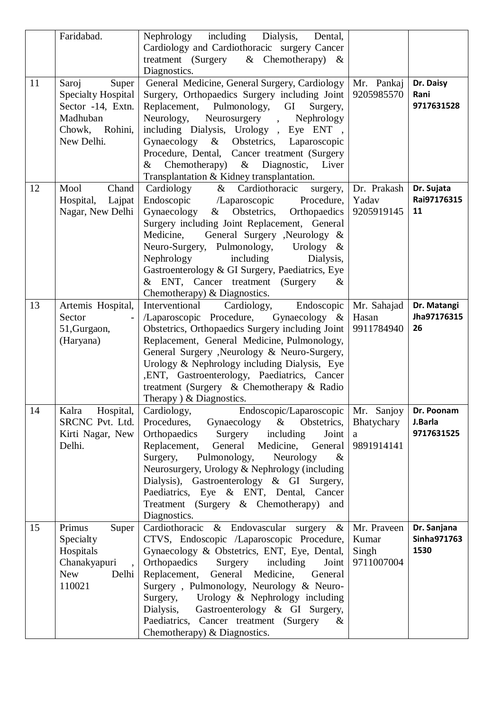|    | Faridabad.                                                                                                             | Nephrology including<br>Dialysis,<br>Dental,<br>Cardiology and Cardiothoracic surgery Cancer<br>treatment (Surgery<br>& Chemotherapy) $\&$<br>Diagnostics.                                                                                                                                                                                                                                                                                                           |                                             |                                     |
|----|------------------------------------------------------------------------------------------------------------------------|----------------------------------------------------------------------------------------------------------------------------------------------------------------------------------------------------------------------------------------------------------------------------------------------------------------------------------------------------------------------------------------------------------------------------------------------------------------------|---------------------------------------------|-------------------------------------|
| 11 | Saroj<br>Super<br><b>Specialty Hospital</b><br>Sector -14, Extn.<br>Madhuban<br>Rohini,<br>Chowk,<br>New Delhi.        | General Medicine, General Surgery, Cardiology<br>Surgery, Orthopaedics Surgery including Joint<br>Replacement, Pulmonology,<br>GI<br>Surgery,<br>Neurology,<br>Neurosurgery,<br>Nephrology<br>including Dialysis, Urology, Eye ENT,<br>Gynaecology & Obstetrics, Laparoscopic<br>Procedure, Dental, Cancer treatment (Surgery<br>Chemotherapy)<br>$\&$<br>Liver<br>Diagnostic,<br>&<br>Transplantation & Kidney transplantation.                                     | Mr. Pankaj<br>9205985570                    | Dr. Daisy<br>Rani<br>9717631528     |
| 12 | Chand<br>Mool<br>Hospital,<br>Lajpat<br>Nagar, New Delhi                                                               | Cardiology<br>$\&$<br>Cardiothoracic<br>surgery,<br>Endoscopic /Laparoscopic<br>Procedure,<br>Gynaecology<br>Obstetrics,<br>Orthopaedics<br>$\&$<br>Surgery including Joint Replacement, General<br>Medicine,<br>General Surgery , Neurology &<br>Neuro-Surgery, Pulmonology,<br>Urology $\&$<br>Nephrology<br>including<br>Dialysis,<br>Gastroenterology & GI Surgery, Paediatrics, Eye<br>& ENT, Cancer treatment (Surgery<br>$\&$<br>Chemotherapy) & Diagnostics. | Dr. Prakash<br>Yadav<br>9205919145          | Dr. Sujata<br>Rai97176315<br>11     |
| 13 | Artemis Hospital,<br>Sector<br>51, Gurgaon,<br>(Haryana)                                                               | Endoscopic<br>Interventional<br>Cardiology,<br>/Laparoscopic Procedure,<br>Gynaecology $\&$<br>Obstetrics, Orthopaedics Surgery including Joint<br>Replacement, General Medicine, Pulmonology,<br>General Surgery , Neurology & Neuro-Surgery,<br>Urology & Nephrology including Dialysis, Eye<br>, ENT, Gastroenterology, Paediatrics, Cancer<br>treatment (Surgery & Chemotherapy & Radio<br>Therapy $\&$ Diagnostics.                                             | Mr. Sahajad<br>Hasan<br>9911784940          | Dr. Matangi<br>Jha97176315<br>26    |
| 14 | Hospital,<br>Kalra<br>SRCNC Pvt. Ltd.<br>Kirti Nagar, New<br>Delhi.                                                    | Endoscopic/Laparoscopic<br>Cardiology,<br>Procedures,<br>Gynaecology & Obstetrics,<br>Orthopaedics<br>Surgery<br>including<br>Joint<br>Replacement,<br>General<br>Medicine, General<br>Surgery,<br>Pulmonology,<br>Neurology<br>$\&$<br>Neurosurgery, Urology & Nephrology (including<br>Dialysis), Gastroenterology & GI Surgery,<br>Paediatrics, Eye & ENT, Dental, Cancer<br>Treatment (Surgery & Chemotherapy)<br>and<br>Diagnostics.                            | Mr. Sanjoy<br>Bhatychary<br>a<br>9891914141 | Dr. Poonam<br>J.Barla<br>9717631525 |
| 15 | Primus<br>Super<br>Specialty<br>Hospitals<br>Chanakyapuri<br>$\overline{\phantom{a}}$<br><b>New</b><br>Delhi<br>110021 | Cardiothoracic & Endovascular surgery &<br>CTVS, Endoscopic /Laparoscopic Procedure,<br>Gynaecology & Obstetrics, ENT, Eye, Dental,<br>Orthopaedics<br>Surgery including<br>Joint<br>Replacement, General Medicine,<br>General<br>Surgery, Pulmonology, Neurology & Neuro-<br>Surgery, Urology & Nephrology including<br>Dialysis,<br>Gastroenterology & GI Surgery,<br>Paediatrics, Cancer treatment (Surgery<br>$\&$<br>Chemotherapy) & Diagnostics.               | Mr. Praveen<br>Kumar<br>Singh<br>9711007004 | Dr. Sanjana<br>Sinha971763<br>1530  |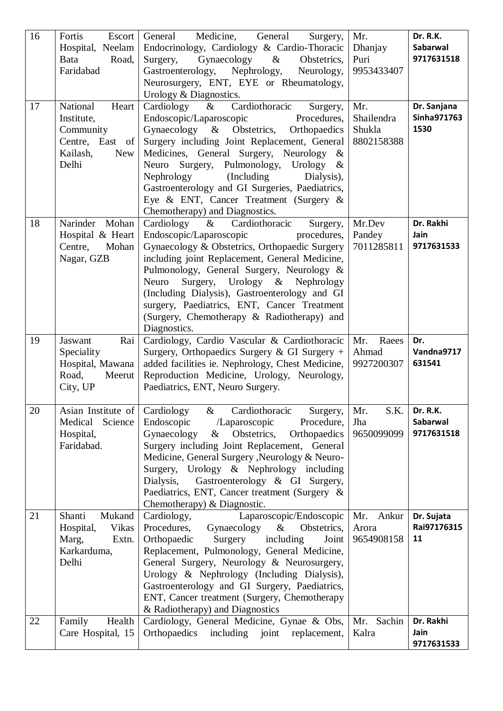| 16<br>17 | Fortis<br>Escort<br>Hospital, Neelam<br>Bata<br>Road,<br>Faridabad<br>National<br>Heart<br>Institute,<br>Community<br>Centre, East of<br>Kailash,<br>New<br>Delhi | Medicine,<br>General<br>General<br>Surgery,<br>Endocrinology, Cardiology & Cardio-Thoracic<br>$\&$<br>Gynaecology<br>Surgery,<br>Obstetrics,<br>Nephrology,<br>Gastroenterology,<br>Neurology,<br>Neurosurgery, ENT, EYE or Rheumatology,<br>Urology & Diagnostics.<br>Cardiology<br>$\&$<br>Cardiothoracic<br>Surgery,<br>Endoscopic/Laparoscopic<br>Procedures,<br>Gynaecology & Obstetrics,<br>Orthopaedics<br>Surgery including Joint Replacement, General<br>Medicines, General Surgery, Neurology<br>&<br>Neuro Surgery, Pulmonology, Urology<br>$\&$ | Mr.<br>Dhanjay<br>Puri<br>9953433407<br>Mr.<br>Shailendra<br>Shukla<br>8802158388 | Dr. R.K.<br>Sabarwal<br>9717631518<br>Dr. Sanjana<br>Sinha971763<br>1530 |
|----------|-------------------------------------------------------------------------------------------------------------------------------------------------------------------|-------------------------------------------------------------------------------------------------------------------------------------------------------------------------------------------------------------------------------------------------------------------------------------------------------------------------------------------------------------------------------------------------------------------------------------------------------------------------------------------------------------------------------------------------------------|-----------------------------------------------------------------------------------|--------------------------------------------------------------------------|
|          |                                                                                                                                                                   | Nephrology<br>(Including)<br>Dialysis),<br>Gastroenterology and GI Surgeries, Paediatrics,<br>Eye & ENT, Cancer Treatment (Surgery $\&$<br>Chemotherapy) and Diagnostics.                                                                                                                                                                                                                                                                                                                                                                                   |                                                                                   |                                                                          |
| 18       | Narinder Mohan<br>Hospital & Heart<br>Centre,<br>Mohan<br>Nagar, GZB                                                                                              | Cardiology<br>$\&$<br>Cardiothoracic<br>Surgery,<br>Endoscopic/Laparoscopic<br>procedures,<br>Gynaecology & Obstetrics, Orthopaedic Surgery<br>including joint Replacement, General Medicine,<br>Pulmonology, General Surgery, Neurology &<br>Surgery, Urology & Nephrology<br>Neuro<br>(Including Dialysis), Gastroenterology and GI<br>surgery, Paediatrics, ENT, Cancer Treatment<br>(Surgery, Chemotherapy & Radiotherapy) and<br>Diagnostics.                                                                                                          | Mr.Dev<br>Pandey<br>7011285811                                                    | Dr. Rakhi<br>Jain<br>9717631533                                          |
| 19       | Jaswant<br>Rai<br>Speciality<br>Hospital, Mawana<br>Road,<br>Meerut<br>City, UP                                                                                   | Cardiology, Cardio Vascular & Cardiothoracic<br>Surgery, Orthopaedics Surgery & GI Surgery $+$<br>added facilities ie. Nephrology, Chest Medicine,<br>Reproduction Medicine, Urology, Neurology,<br>Paediatrics, ENT, Neuro Surgery.                                                                                                                                                                                                                                                                                                                        | Raees<br>Mr.<br>Ahmad<br>9927200307                                               | Dr.<br>Vandna9717<br>631541                                              |
| 20       | Asian Institute of<br>Medical Science<br>Hospital,<br>Faridabad.                                                                                                  | Cardiology<br>$\&$<br>Cardiothoracic<br>Surgery,<br>Endoscopic<br>Procedure,<br>/Laparoscopic<br>Gynaecology<br>$\&$<br>Obstetrics,<br>Orthopaedics<br>Surgery including Joint Replacement, General<br>Medicine, General Surgery, Neurology & Neuro-<br>Surgery, Urology & Nephrology including<br>Dialysis,<br>Gastroenterology & GI Surgery,<br>Paediatrics, ENT, Cancer treatment (Surgery &<br>Chemotherapy) & Diagnostic.                                                                                                                              | Mr.<br>S.K.<br>Jha<br>9650099099                                                  | Dr. R.K.<br><b>Sabarwal</b><br>9717631518                                |
| 21       | Shanti<br>Mukand<br>Hospital,<br>Vikas<br>Marg,<br>Extn.<br>Karkarduma,<br>Delhi                                                                                  | Cardiology,<br>Laparoscopic/Endoscopic<br>Procedures,<br>Gynaecology<br>& Obstetrics,<br>Orthopaedic<br>Surgery<br>including<br>Joint<br>Replacement, Pulmonology, General Medicine,<br>General Surgery, Neurology & Neurosurgery,<br>Urology & Nephrology (Including Dialysis),<br>Gastroenterology and GI Surgery, Paediatrics,<br>ENT, Cancer treatment (Surgery, Chemotherapy<br>& Radiotherapy) and Diagnostics                                                                                                                                        | Mr. Ankur<br>Arora<br>9654908158                                                  | Dr. Sujata<br>Rai97176315<br>11                                          |
| 22       | Family<br>Health<br>Care Hospital, 15                                                                                                                             | Cardiology, General Medicine, Gynae & Obs,<br>Orthopaedics including joint<br>replacement,                                                                                                                                                                                                                                                                                                                                                                                                                                                                  | Mr. Sachin<br>Kalra                                                               | Dr. Rakhi<br>Jain<br>9717631533                                          |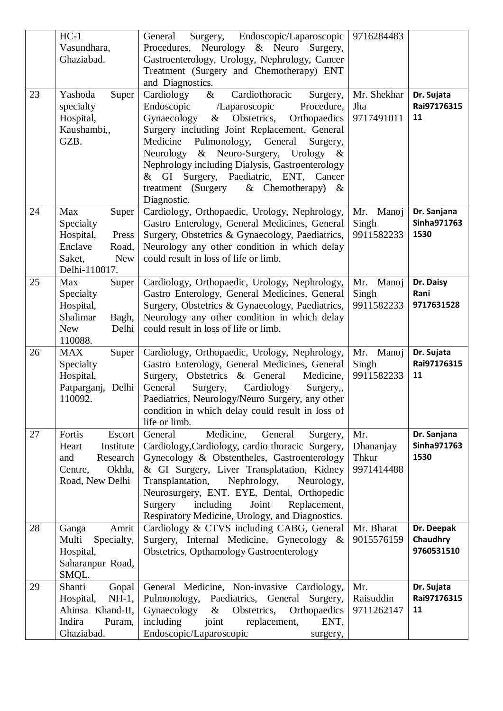| 23 | $HC-1$<br>Vasundhara,<br>Ghaziabad.<br>Yashoda<br>Super                                                      | General<br>Surgery, Endoscopic/Laparoscopic<br>Procedures, Neurology & Neuro Surgery,<br>Gastroenterology, Urology, Nephrology, Cancer<br>Treatment (Surgery and Chemotherapy) ENT<br>and Diagnostics.<br>Cardiothoracic<br>$\&$<br>Cardiology<br>Surgery,                                                                                                                                            | 9716284483<br>Mr. Shekhar               | Dr. Sujata                           |
|----|--------------------------------------------------------------------------------------------------------------|-------------------------------------------------------------------------------------------------------------------------------------------------------------------------------------------------------------------------------------------------------------------------------------------------------------------------------------------------------------------------------------------------------|-----------------------------------------|--------------------------------------|
|    | specialty<br>Hospital,<br>Kaushambi,,<br>GZB.                                                                | Endoscopic<br>/Laparoscopic<br>Procedure,<br>& Obstetrics,<br>Gynaecology<br>Orthopaedics<br>Surgery including Joint Replacement, General<br>Pulmonology,<br>General<br>Medicine<br>Surgery,<br>& Neuro-Surgery, Urology &<br>Neurology<br>Nephrology including Dialysis, Gastroenterology<br>& GI Surgery, Paediatric, ENT, Cancer<br>treatment (Surgery<br>$&$ Chemotherapy)<br>$\&$<br>Diagnostic. | Jha<br>9717491011                       | Rai97176315<br>11                    |
| 24 | Max<br>Super<br>Specialty<br>Hospital,<br>Press<br>Enclave<br>Road,<br>Saket,<br><b>New</b><br>Delhi-110017. | Cardiology, Orthopaedic, Urology, Nephrology,<br>Gastro Enterology, General Medicines, General<br>Surgery, Obstetrics & Gynaecology, Paediatrics,<br>Neurology any other condition in which delay<br>could result in loss of life or limb.                                                                                                                                                            | Manoj<br>Mr.<br>Singh<br>9911582233     | Dr. Sanjana<br>Sinha971763<br>1530   |
| 25 | Max<br>Super<br>Specialty<br>Hospital,<br>Shalimar<br>Bagh,<br><b>New</b><br>Delhi<br>110088.                | Cardiology, Orthopaedic, Urology, Nephrology,<br>Gastro Enterology, General Medicines, General<br>Surgery, Obstetrics & Gynaecology, Paediatrics,<br>Neurology any other condition in which delay<br>could result in loss of life or limb.                                                                                                                                                            | Mr. Manoj<br>Singh<br>9911582233        | Dr. Daisy<br>Rani<br>9717631528      |
| 26 | <b>MAX</b><br>Super<br>Specialty<br>Hospital,<br>Patparganj,<br>Delhi<br>110092.                             | Cardiology, Orthopaedic, Urology, Nephrology,<br>Gastro Enterology, General Medicines, General<br>Obstetrics & General<br>Surgery,<br>Medicine,<br>General<br>Surgery,<br>Cardiology<br>Surgery,<br>Paediatrics, Neurology/Neuro Surgery, any other<br>condition in which delay could result in loss of<br>life or limb.                                                                              | Mr.<br>Manoj<br>Singh<br>9911582233     | Dr. Sujata<br>Rai97176315<br>11      |
| 27 | Fortis<br>Escort<br>Institute<br>Heart<br>and<br>Research<br>Okhla,<br>Centre,<br>Road, New Delhi            | Medicine,<br>General<br>General<br>Surgery,<br>Cardiology, Cardiology, cardio thoracic Surgery,<br>Gynecology & Obstentheles, Gastroenterology<br>& GI Surgery, Liver Transplatation, Kidney<br>Transplantation,<br>Nephrology,<br>Neurology,<br>Neurosurgery, ENT. EYE, Dental, Orthopedic<br>Surgery<br>including<br>Joint<br>Replacement,<br>Respiratory Medicine, Urology, and Diagnostics.       | Mr.<br>Dhananjay<br>Thkur<br>9971414488 | Dr. Sanjana<br>Sinha971763<br>1530   |
| 28 | Amrit<br>Ganga<br>Multi<br>Specialty,<br>Hospital,<br>Saharanpur Road,<br>SMQL.                              | Cardiology & CTVS including CABG, General<br>Surgery, Internal Medicine, Gynecology &<br>Obstetrics, Opthamology Gastroenterology                                                                                                                                                                                                                                                                     | Mr. Bharat<br>9015576159                | Dr. Deepak<br>Chaudhry<br>9760531510 |
| 29 | Shanti<br>Gopal<br>Hospital,<br>$NH-1$ ,<br>Ahinsa Khand-II,<br>Indira<br>Puram,<br>Ghaziabad.               | General Medicine, Non-invasive Cardiology,<br>Pulmonology, Paediatrics, General<br>Surgery,<br>Gynaecology<br>& Obstetrics,<br>Orthopaedics<br>including<br>joint<br>ENT,<br>replacement,<br>Endoscopic/Laparoscopic<br>surgery,                                                                                                                                                                      | Mr.<br>Raisuddin<br>9711262147          | Dr. Sujata<br>Rai97176315<br>11      |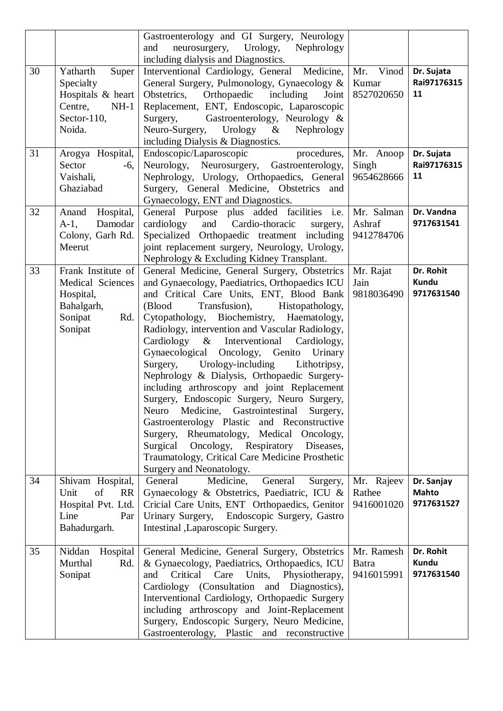|    |                                                                                                   | Gastroenterology and GI Surgery, Neurology<br>Nephrology<br>neurosurgery, Urology,<br>and<br>including dialysis and Diagnostics.                                                                                                                                                                                                                                                                                                                                                                                                                                                                                                                                                                                                                                                                                                                       |                                     |                                          |
|----|---------------------------------------------------------------------------------------------------|--------------------------------------------------------------------------------------------------------------------------------------------------------------------------------------------------------------------------------------------------------------------------------------------------------------------------------------------------------------------------------------------------------------------------------------------------------------------------------------------------------------------------------------------------------------------------------------------------------------------------------------------------------------------------------------------------------------------------------------------------------------------------------------------------------------------------------------------------------|-------------------------------------|------------------------------------------|
| 30 | Yatharth<br>Super<br>Specialty<br>Hospitals & heart<br>Centre,<br>$NH-1$<br>Sector-110,<br>Noida. | Interventional Cardiology, General Medicine,<br>General Surgery, Pulmonology, Gynaecology &<br>Obstetrics, Orthopaedic including Joint<br>Replacement, ENT, Endoscopic, Laparoscopic<br>Surgery, Gastroenterology, Neurology &<br>Neuro-Surgery,<br>Urology $\&$<br>Nephrology<br>including Dialysis & Diagnostics.                                                                                                                                                                                                                                                                                                                                                                                                                                                                                                                                    | Mr.<br>Vinod<br>Kumar<br>8527020650 | Dr. Sujata<br>Rai97176315<br>11          |
| 31 | Arogya Hospital,<br>Sector<br>$-6,$<br>Vaishali,<br>Ghaziabad                                     | Endoscopic/Laparoscopic<br>procedures,<br>Neurology, Neurosurgery, Gastroenterology,<br>Nephrology, Urology, Orthopaedics, General<br>Surgery, General Medicine, Obstetrics and<br>Gynaecology, ENT and Diagnostics.                                                                                                                                                                                                                                                                                                                                                                                                                                                                                                                                                                                                                                   | Mr. Anoop<br>Singh<br>9654628666    | Dr. Sujata<br>Rai97176315<br>11          |
| 32 | Hospital,<br>Anand<br>Damodar<br>$A-1$ ,<br>Colony, Garh Rd.<br>Meerut                            | General Purpose plus added facilities i.e.<br>and<br>Cardio-thoracic<br>cardiology<br>surgery,<br>Specialized Orthopaedic treatment including<br>joint replacement surgery, Neurology, Urology,<br>Nephrology & Excluding Kidney Transplant.                                                                                                                                                                                                                                                                                                                                                                                                                                                                                                                                                                                                           | Mr. Salman<br>Ashraf<br>9412784706  | Dr. Vandna<br>9717631541                 |
| 33 | Frank Institute of<br>Medical Sciences<br>Hospital,<br>Bahalgarh,<br>Sonipat<br>Rd.<br>Sonipat    | General Medicine, General Surgery, Obstetrics<br>and Gynaecology, Paediatrics, Orthopaedics ICU<br>and Critical Care Units, ENT, Blood Bank<br>(Blood<br>Transfusion),<br>Histopathology,<br>Cytopathology, Biochemistry, Haematology,<br>Radiology, intervention and Vascular Radiology,<br>Cardiology & Interventional<br>Cardiology,<br>Gynaecological Oncology, Genito Urinary<br>Surgery, Urology-including<br>Lithotripsy,<br>Nephrology & Dialysis, Orthopaedic Surgery-<br>including arthroscopy and joint Replacement<br>Surgery, Endoscopic Surgery, Neuro Surgery,<br>Neuro<br>Medicine, Gastrointestinal<br>Surgery,<br>Gastroenterology Plastic and Reconstructive<br>Surgery, Rheumatology, Medical Oncology,<br>Surgical Oncology, Respiratory Diseases,<br>Traumatology, Critical Care Medicine Prosthetic<br>Surgery and Neonatology. | Mr. Rajat<br>Jain<br>9818036490     | Dr. Rohit<br>Kundu<br>9717631540         |
| 34 | Shivam Hospital,<br>of<br>Unit<br><b>RR</b><br>Hospital Pvt. Ltd.<br>Line<br>Par<br>Bahadurgarh.  | General<br>Medicine.<br>General<br>Surgery,<br>Gynaecology & Obstetrics, Paediatric, ICU &<br>Cricial Care Units, ENT Orthopaedics, Genitor<br>Urinary Surgery, Endoscopic Surgery, Gastro<br>Intestinal , Laparoscopic Surgery.                                                                                                                                                                                                                                                                                                                                                                                                                                                                                                                                                                                                                       | Mr. Rajeev<br>Rathee<br>9416001020  | Dr. Sanjay<br><b>Mahto</b><br>9717631527 |
| 35 | Niddan<br>Hospital<br>Murthal<br>Rd.<br>Sonipat                                                   | General Medicine, General Surgery, Obstetrics<br>& Gynaecology, Paediatrics, Orthopaedics, ICU<br>and<br>Critical Care Units,<br>Physiotherapy,<br>Cardiology (Consultation and Diagnostics),<br>Interventional Cardiology, Orthopaedic Surgery<br>including arthroscopy and Joint-Replacement<br>Surgery, Endoscopic Surgery, Neuro Medicine,<br>Gastroenterology, Plastic and reconstructive                                                                                                                                                                                                                                                                                                                                                                                                                                                         | Mr. Ramesh<br>Batra<br>9416015991   | Dr. Rohit<br>Kundu<br>9717631540         |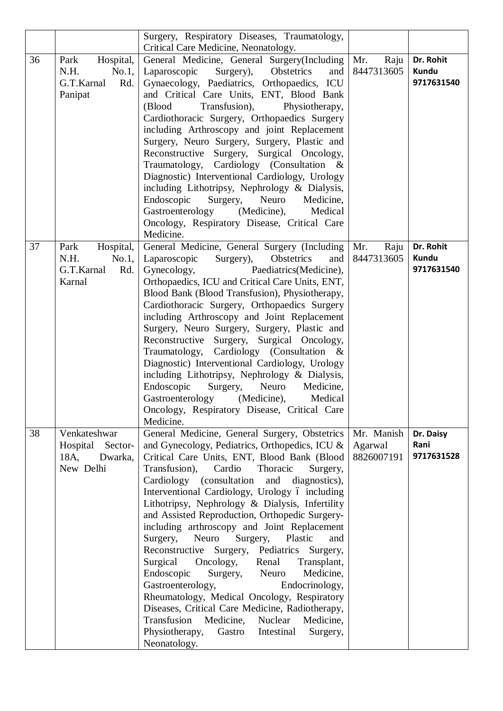|    |                                                                     | Surgery, Respiratory Diseases, Traumatology,<br>Critical Care Medicine, Neonatology.                                                                                                                                                                                                                                                                                                                                                                                                                                                                                                                                                                                                                                                                                                                                                                                                                                  |                                     |                                  |
|----|---------------------------------------------------------------------|-----------------------------------------------------------------------------------------------------------------------------------------------------------------------------------------------------------------------------------------------------------------------------------------------------------------------------------------------------------------------------------------------------------------------------------------------------------------------------------------------------------------------------------------------------------------------------------------------------------------------------------------------------------------------------------------------------------------------------------------------------------------------------------------------------------------------------------------------------------------------------------------------------------------------|-------------------------------------|----------------------------------|
| 36 | Park<br>Hospital,<br>N.H.<br>No.1,<br>G.T.Karnal<br>Rd.<br>Panipat  | General Medicine, General Surgery(Including   Mr.<br>Laparoscopic<br>Obstetrics<br>Surgery),<br>and<br>Gynaecology, Paediatrics, Orthopaedics, ICU<br>and Critical Care Units, ENT, Blood Bank<br>(Blood<br>Transfusion),<br>Physiotherapy,<br>Cardiothoracic Surgery, Orthopaedics Surgery<br>including Arthroscopy and joint Replacement<br>Surgery, Neuro Surgery, Surgery, Plastic and<br>Reconstructive Surgery, Surgical Oncology,<br>Traumatology, Cardiology (Consultation &<br>Diagnostic) Interventional Cardiology, Urology<br>including Lithotripsy, Nephrology & Dialysis,<br>Endoscopic<br>Surgery, Neuro<br>Medicine,<br>Gastroenterology<br>(Medicine),<br>Medical<br>Oncology, Respiratory Disease, Critical Care<br>Medicine.                                                                                                                                                                       | Raju<br>8447313605                  | Dr. Rohit<br>Kundu<br>9717631540 |
| 37 | Hospital,<br>Park<br>No.1,<br>N.H.<br>G.T.Karnal<br>Rd.<br>Karnal   | General Medicine, General Surgery (Including<br>Laparoscopic Surgery),<br>Obstetrics<br>and<br>Gynecology,<br>Paediatrics(Medicine),<br>Orthopaedics, ICU and Critical Care Units, ENT,<br>Blood Bank (Blood Transfusion), Physiotherapy,<br>Cardiothoracic Surgery, Orthopaedics Surgery<br>including Arthroscopy and Joint Replacement<br>Surgery, Neuro Surgery, Surgery, Plastic and<br>Reconstructive Surgery, Surgical Oncology,<br>Traumatology, Cardiology (Consultation &<br>Diagnostic) Interventional Cardiology, Urology<br>including Lithotripsy, Nephrology & Dialysis,<br>Endoscopic<br>Surgery, Neuro<br>Medicine,<br>Gastroenterology (Medicine),<br>Medical<br>Oncology, Respiratory Disease, Critical Care<br>Medicine.                                                                                                                                                                            | Mr.<br>Raju<br>8447313605           | Dr. Rohit<br>Kundu<br>9717631540 |
| 38 | Venkateshwar<br>Hospital<br>Sector-<br>18A,<br>Dwarka,<br>New Delhi | General Medicine, General Surgery, Obstetrics<br>and Gynecology, Pediatrics, Orthopedics, ICU &<br>Critical Care Units, ENT, Blood Bank (Blood<br>Transfusion),<br>Thoracic<br>Cardio<br>Surgery,<br>Cardiology (consultation and<br>diagnostics),<br>Interventional Cardiology, Urology ó including<br>Lithotripsy, Nephrology & Dialysis, Infertility<br>and Assisted Reproduction, Orthopedic Surgery-<br>including arthroscopy and Joint Replacement<br>Neuro<br>Surgery,<br>Surgery,<br>Plastic<br>and<br>Reconstructive Surgery, Pediatrics Surgery,<br>Surgical<br>Oncology,<br>Renal<br>Transplant,<br>Endoscopic<br>Surgery, Neuro<br>Medicine,<br>Gastroenterology,<br>Endocrinology,<br>Rheumatology, Medical Oncology, Respiratory<br>Diseases, Critical Care Medicine, Radiotherapy,<br>Transfusion Medicine, Nuclear<br>Medicine,<br>Physiotherapy,<br>Gastro<br>Intestinal<br>Surgery,<br>Neonatology. | Mr. Manish<br>Agarwal<br>8826007191 | Dr. Daisy<br>Rani<br>9717631528  |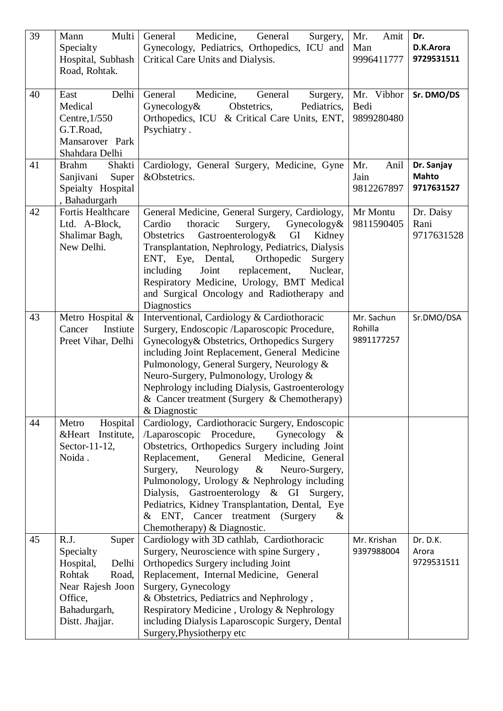| 39 | Multi<br>Mann<br>Specialty                                                                                                            | Medicine,<br>General<br>General<br>Surgery,<br>Gynecology, Pediatrics, Orthopedics, ICU and                                                                                                                                                                                                                                                                                                                                                                                     | Mr.<br>Amit<br>Man                  | Dr.<br>D.K.Arora                         |
|----|---------------------------------------------------------------------------------------------------------------------------------------|---------------------------------------------------------------------------------------------------------------------------------------------------------------------------------------------------------------------------------------------------------------------------------------------------------------------------------------------------------------------------------------------------------------------------------------------------------------------------------|-------------------------------------|------------------------------------------|
|    | Hospital, Subhash<br>Road, Rohtak.                                                                                                    | Critical Care Units and Dialysis.                                                                                                                                                                                                                                                                                                                                                                                                                                               | 9996411777                          | 9729531511                               |
| 40 | Delhi<br>East<br>Medical<br>Centre, 1/550<br>G.T.Road,<br>Mansarover Park<br>Shahdara Delhi                                           | Medicine,<br>General<br>General<br>Surgery,<br>Pediatrics,<br>Gynecology $\&$<br>Obstetrics,<br>Orthopedics, ICU & Critical Care Units, ENT,<br>Psychiatry.                                                                                                                                                                                                                                                                                                                     | Mr. Vibhor<br>Bedi<br>9899280480    | Sr. DMO/DS                               |
| 41 | <b>Brahm</b><br>Shakti<br>Sanjivani<br>Super<br>Speialty Hospital<br>, Bahadurgarh                                                    | Cardiology, General Surgery, Medicine, Gyne<br>&Obstetrics.                                                                                                                                                                                                                                                                                                                                                                                                                     | Mr.<br>Anil<br>Jain<br>9812267897   | Dr. Sanjay<br><b>Mahto</b><br>9717631527 |
| 42 | Fortis Healthcare<br>Ltd. A-Block,<br>Shalimar Bagh,<br>New Delhi.                                                                    | General Medicine, General Surgery, Cardiology,<br>Cardio<br>Gynecology&<br>thoracic<br>Surgery,<br>Gastroenterology&<br>Obstetrics<br>GI<br>Kidney<br>Transplantation, Nephrology, Pediatrics, Dialysis<br>ENT, Eye, Dental,<br>Orthopedic<br>Surgery<br>including<br>Joint<br>replacement,<br>Nuclear,<br>Respiratory Medicine, Urology, BMT Medical<br>and Surgical Oncology and Radiotherapy and<br>Diagnostics                                                              | Mr Montu<br>9811590405              | Dr. Daisy<br>Rani<br>9717631528          |
| 43 | Metro Hospital &<br>Cancer<br>Instiute<br>Preet Vihar, Delhi                                                                          | Interventional, Cardiology & Cardiothoracic<br>Surgery, Endoscopic /Laparoscopic Procedure,<br>Gynecology & Obstetrics, Orthopedics Surgery<br>including Joint Replacement, General Medicine<br>Pulmonology, General Surgery, Neurology &<br>Neuro-Surgery, Pulmonology, Urology &<br>Nephrology including Dialysis, Gastroenterology<br>& Cancer treatment (Surgery $\&$ Chemotherapy)<br>& Diagnostic                                                                         | Mr. Sachun<br>Rohilla<br>9891177257 | Sr.DMO/DSA                               |
| 44 | Hospital<br>Metro<br>&Heart Institute,<br>Sector-11-12,<br>Noida.                                                                     | Cardiology, Cardiothoracic Surgery, Endoscopic<br>/Laparoscopic Procedure,<br>Gynecology $\&$<br>Obstetrics, Orthopedics Surgery including Joint<br>Replacement,<br>General Medicine, General<br>Surgery,<br>Neurology<br>$\&$<br>Neuro-Surgery,<br>Pulmonology, Urology & Nephrology including<br>Dialysis,<br>Gastroenterology & GI<br>Surgery,<br>Pediatrics, Kidney Transplantation, Dental, Eye<br>& ENT, Cancer treatment (Surgery<br>$\&$<br>Chemotherapy) & Diagnostic. |                                     |                                          |
| 45 | R.J.<br>Super<br>Specialty<br>Hospital,<br>Delhi<br>Rohtak<br>Road,<br>Near Rajesh Joon<br>Office,<br>Bahadurgarh,<br>Distt. Jhajjar. | Cardiology with 3D cathlab, Cardiothoracic<br>Surgery, Neuroscience with spine Surgery,<br>Orthopedics Surgery including Joint<br>Replacement, Internal Medicine, General<br>Surgery, Gynecology<br>& Obstetrics, Pediatrics and Nephrology,<br>Respiratory Medicine, Urology & Nephrology<br>including Dialysis Laparoscopic Surgery, Dental<br>Surgery, Physiotherpy etc                                                                                                      | Mr. Krishan<br>9397988004           | Dr. D.K.<br>Arora<br>9729531511          |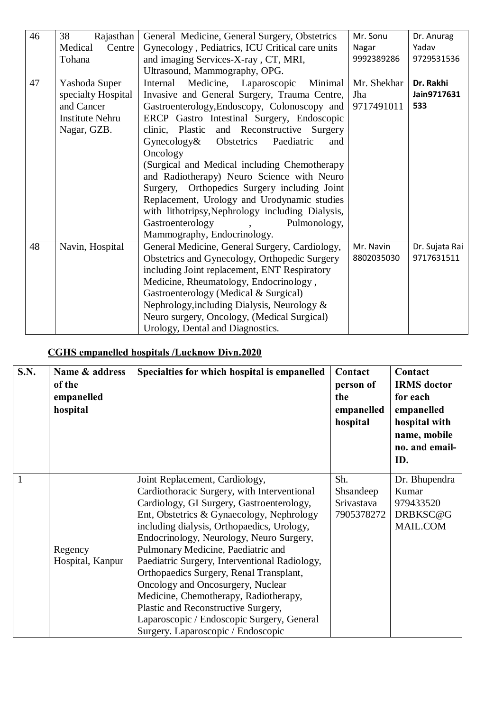| 46 | 38<br>Rajasthan<br>Medical<br>Centre                                                       | General Medicine, General Surgery, Obstetrics<br>Gynecology, Pediatrics, ICU Critical care units                                                                                                                                                                                                                                                                                                                                                                                                                                                                                                           | Mr. Sonu<br>Nagar                | Dr. Anurag<br>Yadav             |
|----|--------------------------------------------------------------------------------------------|------------------------------------------------------------------------------------------------------------------------------------------------------------------------------------------------------------------------------------------------------------------------------------------------------------------------------------------------------------------------------------------------------------------------------------------------------------------------------------------------------------------------------------------------------------------------------------------------------------|----------------------------------|---------------------------------|
|    | Tohana                                                                                     | and imaging Services-X-ray, CT, MRI,                                                                                                                                                                                                                                                                                                                                                                                                                                                                                                                                                                       | 9992389286                       | 9729531536                      |
|    |                                                                                            | Ultrasound, Mammography, OPG.                                                                                                                                                                                                                                                                                                                                                                                                                                                                                                                                                                              |                                  |                                 |
| 47 | Yashoda Super<br>specialty Hospital<br>and Cancer<br><b>Institute Nehru</b><br>Nagar, GZB. | Minimal<br>Medicine, Laparoscopic<br>Internal<br>Invasive and General Surgery, Trauma Centre,<br>Gastroenterology, Endoscopy, Colonoscopy and<br>ERCP Gastro Intestinal Surgery, Endoscopic<br>clinic, Plastic<br>and Reconstructive Surgery<br>$G$ ynecology $\&$<br>Obstetrics<br>Paediatric<br>and<br>Oncology<br>(Surgical and Medical including Chemotherapy)<br>and Radiotherapy) Neuro Science with Neuro<br>Orthopedics Surgery including Joint<br>Surgery,<br>Replacement, Urology and Urodynamic studies<br>with lithotripsy, Nephrology including Dialysis,<br>Gastroenterology<br>Pulmonology, | Mr. Shekhar<br>Jha<br>9717491011 | Dr. Rakhi<br>Jain9717631<br>533 |
|    |                                                                                            | Mammography, Endocrinology.                                                                                                                                                                                                                                                                                                                                                                                                                                                                                                                                                                                |                                  |                                 |
| 48 | Navin, Hospital                                                                            | General Medicine, General Surgery, Cardiology,<br>Obstetrics and Gynecology, Orthopedic Surgery<br>including Joint replacement, ENT Respiratory<br>Medicine, Rheumatology, Endocrinology,<br>Gastroenterology (Medical & Surgical)<br>Nephrology, including Dialysis, Neurology &<br>Neuro surgery, Oncology, (Medical Surgical)<br>Urology, Dental and Diagnostics.                                                                                                                                                                                                                                       | Mr. Navin<br>8802035030          | Dr. Sujata Rai<br>9717631511    |

# **CGHS empanelled hospitals /Lucknow Divn.2020**

| S.N.         | Name & address<br>of the<br>empanelled<br>hospital | Specialties for which hospital is empanelled                                                                                                                                                                                                                                                                                                                                                                                                                                                                                                                                                                 | Contact<br>person of<br>the<br>empanelled<br>hospital | Contact<br><b>IRMS</b> doctor<br>for each<br>empanelled<br>hospital with<br>name, mobile<br>no. and email-<br>ID. |
|--------------|----------------------------------------------------|--------------------------------------------------------------------------------------------------------------------------------------------------------------------------------------------------------------------------------------------------------------------------------------------------------------------------------------------------------------------------------------------------------------------------------------------------------------------------------------------------------------------------------------------------------------------------------------------------------------|-------------------------------------------------------|-------------------------------------------------------------------------------------------------------------------|
| $\mathbf{1}$ | Regency<br>Hospital, Kanpur                        | Joint Replacement, Cardiology,<br>Cardiothoracic Surgery, with Interventional<br>Cardiology, GI Surgery, Gastroenterology,<br>Ent, Obstetrics & Gynaecology, Nephrology<br>including dialysis, Orthopaedics, Urology,<br>Endocrinology, Neurology, Neuro Surgery,<br>Pulmonary Medicine, Paediatric and<br>Paediatric Surgery, Interventional Radiology,<br>Orthopaedics Surgery, Renal Transplant,<br>Oncology and Oncosurgery, Nuclear<br>Medicine, Chemotherapy, Radiotherapy,<br>Plastic and Reconstructive Surgery,<br>Laparoscopic / Endoscopic Surgery, General<br>Surgery. Laparoscopic / Endoscopic | Sh.<br>Shsandeep<br>Srivastava<br>7905378272          | Dr. Bhupendra<br>Kumar<br>979433520<br>DRBKSC@G<br>MAIL.COM                                                       |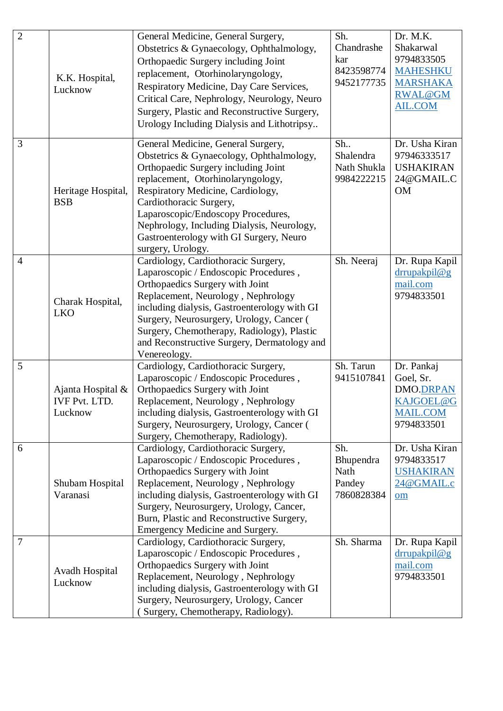| $\overline{2}$ | K.K. Hospital,<br>Lucknow                            | General Medicine, General Surgery,<br>Obstetrics & Gynaecology, Ophthalmology,<br>Orthopaedic Surgery including Joint<br>replacement, Otorhinolaryngology,<br>Respiratory Medicine, Day Care Services,<br>Critical Care, Nephrology, Neurology, Neuro<br>Surgery, Plastic and Reconstructive Surgery,<br>Urology Including Dialysis and Lithotripsy                            | Sh.<br>Chandrashe<br>kar<br>8423598774<br>9452177735 | Dr. M.K.<br>Shakarwal<br>9794833505<br><b>MAHESHKU</b><br><b>MARSHAKA</b><br><b>RWAL@GM</b><br><b>AIL.COM</b> |
|----------------|------------------------------------------------------|--------------------------------------------------------------------------------------------------------------------------------------------------------------------------------------------------------------------------------------------------------------------------------------------------------------------------------------------------------------------------------|------------------------------------------------------|---------------------------------------------------------------------------------------------------------------|
| 3              | Heritage Hospital,<br><b>BSB</b>                     | General Medicine, General Surgery,<br>Obstetrics & Gynaecology, Ophthalmology,<br>Orthopaedic Surgery including Joint<br>replacement, Otorhinolaryngology,<br>Respiratory Medicine, Cardiology,<br>Cardiothoracic Surgery,<br>Laparoscopic/Endoscopy Procedures,<br>Nephrology, Including Dialysis, Neurology,<br>Gastroenterology with GI Surgery, Neuro<br>surgery, Urology. | Sh.<br>Shalendra<br>Nath Shukla<br>9984222215        | Dr. Usha Kiran<br>97946333517<br><b>USHAKIRAN</b><br>24@GMAIL.C<br><b>OM</b>                                  |
| $\overline{4}$ | Charak Hospital,<br><b>LKO</b>                       | Cardiology, Cardiothoracic Surgery,<br>Laparoscopic / Endoscopic Procedures,<br>Orthopaedics Surgery with Joint<br>Replacement, Neurology, Nephrology<br>including dialysis, Gastroenterology with GI<br>Surgery, Neurosurgery, Urology, Cancer (<br>Surgery, Chemotherapy, Radiology), Plastic<br>and Reconstructive Surgery, Dermatology and<br>Venereology.                 | Sh. Neeraj                                           | Dr. Rupa Kapil<br>drrupakpil@g<br>mail.com<br>9794833501                                                      |
| 5              | Ajanta Hospital &<br><b>IVF Pvt. LTD.</b><br>Lucknow | Cardiology, Cardiothoracic Surgery,<br>Laparoscopic / Endoscopic Procedures,<br>Orthopaedics Surgery with Joint<br>Replacement, Neurology, Nephrology<br>including dialysis, Gastroenterology with GI<br>Surgery, Neurosurgery, Urology, Cancer (<br>Surgery, Chemotherapy, Radiology).                                                                                        | Sh. Tarun<br>9415107841                              | Dr. Pankaj<br>Goel, Sr.<br><b>DMO.DRPAN</b><br>KAJGOEL@G<br><b>MAIL.COM</b><br>9794833501                     |
| 6              | Shubam Hospital<br>Varanasi                          | Cardiology, Cardiothoracic Surgery,<br>Laparoscopic / Endoscopic Procedures,<br>Orthopaedics Surgery with Joint<br>Replacement, Neurology, Nephrology<br>including dialysis, Gastroenterology with GI<br>Surgery, Neurosurgery, Urology, Cancer,<br>Burn, Plastic and Reconstructive Surgery,<br>Emergency Medicine and Surgery.                                               | Sh.<br>Bhupendra<br>Nath<br>Pandey<br>7860828384     | Dr. Usha Kiran<br>9794833517<br><b>USHAKIRAN</b><br>24@GMAIL.c<br>$om$                                        |
| 7              | Avadh Hospital<br>Lucknow                            | Cardiology, Cardiothoracic Surgery,<br>Laparoscopic / Endoscopic Procedures,<br>Orthopaedics Surgery with Joint<br>Replacement, Neurology, Nephrology<br>including dialysis, Gastroenterology with GI<br>Surgery, Neurosurgery, Urology, Cancer<br>(Surgery, Chemotherapy, Radiology).                                                                                         | Sh. Sharma                                           | Dr. Rupa Kapil<br>drrupakpil@g<br>mail.com<br>9794833501                                                      |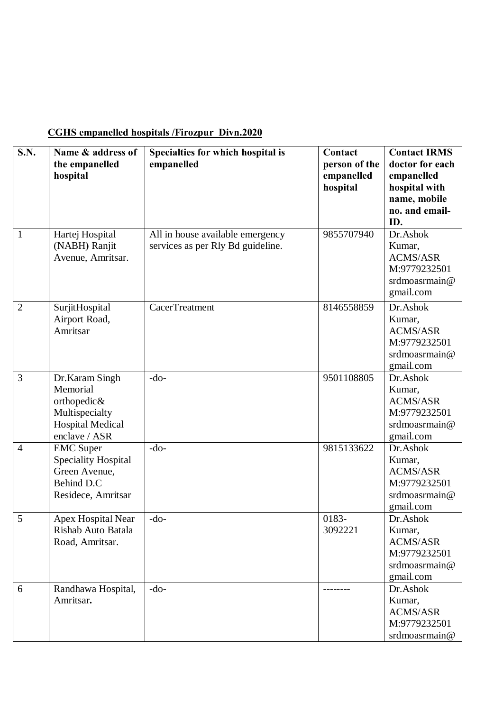## **CGHS empanelled hospitals /Firozpur Divn.2020**

| $\overline{\mathbf{S}}.\mathbf{N}$ . | Name & address of<br>the empanelled<br>hospital                                                          | Specialties for which hospital is<br>empanelled                       | Contact<br>person of the<br>empanelled<br>hospital | <b>Contact IRMS</b><br>doctor for each<br>empanelled<br>hospital with<br>name, mobile<br>no. and email-<br>ID.<br>Dr.Ashok |
|--------------------------------------|----------------------------------------------------------------------------------------------------------|-----------------------------------------------------------------------|----------------------------------------------------|----------------------------------------------------------------------------------------------------------------------------|
| $\mathbf{1}$                         | Hartej Hospital<br>(NABH) Ranjit<br>Avenue, Amritsar.                                                    | All in house available emergency<br>services as per Rly Bd guideline. | 9855707940                                         | Kumar,<br><b>ACMS/ASR</b><br>M:9779232501<br>srdmoasrmain@<br>gmail.com                                                    |
| $\overline{2}$                       | SurjitHospital<br>Airport Road,<br>Amritsar                                                              | <b>CacerTreatment</b>                                                 | 8146558859                                         | Dr.Ashok<br>Kumar,<br><b>ACMS/ASR</b><br>M:9779232501<br>srdmoasrmain@<br>gmail.com                                        |
| 3                                    | Dr. Karam Singh<br>Memorial<br>orthopedic&<br>Multispecialty<br><b>Hospital Medical</b><br>enclave / ASR | $-do-$                                                                | 9501108805                                         | Dr.Ashok<br>Kumar,<br><b>ACMS/ASR</b><br>M:9779232501<br>srdmoasrmain@<br>gmail.com                                        |
| $\overline{4}$                       | <b>EMC</b> Super<br>Speciality Hospital<br>Green Avenue,<br>Behind D.C<br>Residece, Amritsar             | $-do-$                                                                | 9815133622                                         | Dr.Ashok<br>Kumar,<br><b>ACMS/ASR</b><br>M:9779232501<br>srdmoasrmain@<br>gmail.com                                        |
| 5                                    | <b>Apex Hospital Near</b><br>Rishab Auto Batala<br>Road, Amritsar.                                       | $-do-$                                                                | 0183-<br>3092221                                   | Dr.Ashok<br>Kumar,<br><b>ACMS/ASR</b><br>M:9779232501<br>srdmoasrmain@<br>gmail.com                                        |
| 6                                    | Randhawa Hospital,<br>Amritsar.                                                                          | $-do-$                                                                |                                                    | Dr.Ashok<br>Kumar,<br><b>ACMS/ASR</b><br>M:9779232501<br>srdmoasrmain@                                                     |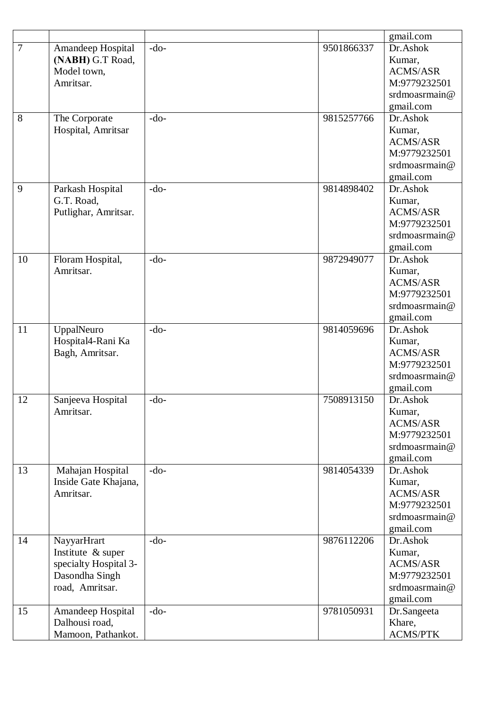|                |                       |        |            | gmail.com       |
|----------------|-----------------------|--------|------------|-----------------|
| $\overline{7}$ | Amandeep Hospital     | $-do-$ | 9501866337 | Dr.Ashok        |
|                | (NABH) G.T Road,      |        |            | Kumar,          |
|                | Model town,           |        |            | <b>ACMS/ASR</b> |
|                | Amritsar.             |        |            | M:9779232501    |
|                |                       |        |            | srdmoasrmain@   |
|                |                       |        |            | gmail.com       |
| 8              | The Corporate         | $-do-$ | 9815257766 | Dr.Ashok        |
|                | Hospital, Amritsar    |        |            | Kumar,          |
|                |                       |        |            | <b>ACMS/ASR</b> |
|                |                       |        |            | M:9779232501    |
|                |                       |        |            | srdmoasrmain@   |
|                |                       |        |            | gmail.com       |
| 9              | Parkash Hospital      | $-do-$ | 9814898402 | Dr.Ashok        |
|                | G.T. Road,            |        |            | Kumar,          |
|                | Putlighar, Amritsar.  |        |            | <b>ACMS/ASR</b> |
|                |                       |        |            | M:9779232501    |
|                |                       |        |            | srdmoasrmain@   |
|                |                       |        |            | gmail.com       |
| 10             | Floram Hospital,      | $-do-$ | 9872949077 | Dr.Ashok        |
|                | Amritsar.             |        |            | Kumar,          |
|                |                       |        |            | <b>ACMS/ASR</b> |
|                |                       |        |            | M:9779232501    |
|                |                       |        |            | srdmoasrmain@   |
|                |                       |        |            | gmail.com       |
| 11             | UppalNeuro            | $-do-$ | 9814059696 | Dr.Ashok        |
|                | Hospital4-Rani Ka     |        |            | Kumar,          |
|                | Bagh, Amritsar.       |        |            | <b>ACMS/ASR</b> |
|                |                       |        |            | M:9779232501    |
|                |                       |        |            | srdmoasrmain@   |
|                |                       |        |            | gmail.com       |
| 12             | Sanjeeva Hospital     | $-do-$ | 7508913150 | Dr.Ashok        |
|                | Amritsar.             |        |            | Kumar,          |
|                |                       |        |            | <b>ACMS/ASR</b> |
|                |                       |        |            | M:9779232501    |
|                |                       |        |            | srdmoasrmain@   |
|                |                       |        |            | gmail.com       |
| 13             | Mahajan Hospital      | $-do-$ | 9814054339 | Dr.Ashok        |
|                | Inside Gate Khajana,  |        |            | Kumar,          |
|                | Amritsar.             |        |            | <b>ACMS/ASR</b> |
|                |                       |        |            | M:9779232501    |
|                |                       |        |            | srdmoasrmain@   |
|                |                       |        |            | gmail.com       |
| 14             | NayyarHrart           | $-do-$ | 9876112206 | Dr.Ashok        |
|                | Institute & super     |        |            | Kumar,          |
|                | specialty Hospital 3- |        |            | <b>ACMS/ASR</b> |
|                | Dasondha Singh        |        |            | M:9779232501    |
|                | road, Amritsar.       |        |            | srdmoasrmain@   |
|                |                       |        |            | gmail.com       |
| 15             | Amandeep Hospital     | $-do-$ | 9781050931 | Dr.Sangeeta     |
|                | Dalhousi road,        |        |            | Khare,          |
|                | Mamoon, Pathankot.    |        |            | <b>ACMS/PTK</b> |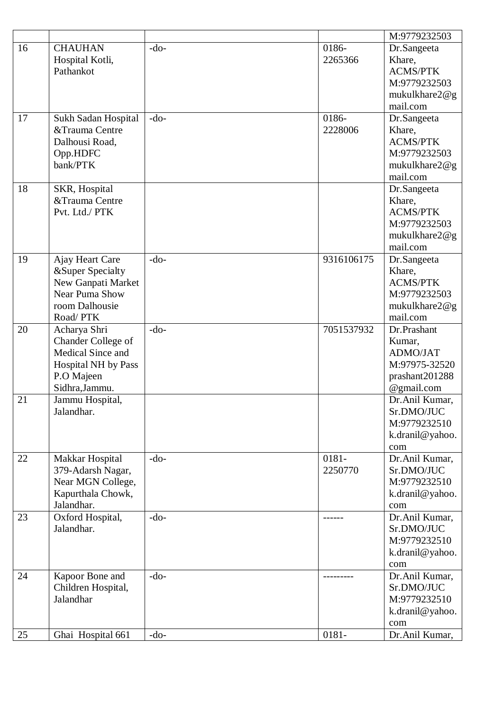|    |                            |        |            | M:9779232503           |
|----|----------------------------|--------|------------|------------------------|
| 16 | <b>CHAUHAN</b>             | $-do-$ | 0186-      | Dr.Sangeeta            |
|    | Hospital Kotli,            |        | 2265366    | Khare,                 |
|    | Pathankot                  |        |            | <b>ACMS/PTK</b>        |
|    |                            |        |            | M:9779232503           |
|    |                            |        |            | mukulkhare $2@g$       |
|    |                            |        |            | mail.com               |
| 17 | Sukh Sadan Hospital        | $-do-$ | 0186-      | Dr.Sangeeta            |
|    | &Trauma Centre             |        | 2228006    | Khare,                 |
|    | Dalhousi Road,             |        |            | <b>ACMS/PTK</b>        |
|    | Opp.HDFC                   |        |            | M:9779232503           |
|    | bank/PTK                   |        |            | mukulkhare2@g          |
|    |                            |        |            | mail.com               |
| 18 | SKR, Hospital              |        |            | Dr.Sangeeta            |
|    | &Trauma Centre             |        |            | Khare,                 |
|    | Pvt. Ltd./ PTK             |        |            | <b>ACMS/PTK</b>        |
|    |                            |        |            | M:9779232503           |
|    |                            |        |            | mukulkhare2@g          |
|    |                            |        |            | mail.com               |
| 19 | Ajay Heart Care            | $-do-$ | 9316106175 | Dr.Sangeeta            |
|    | &Super Specialty           |        |            | Khare,                 |
|    | New Ganpati Market         |        |            | <b>ACMS/PTK</b>        |
|    | Near Puma Show             |        |            | M:9779232503           |
|    | room Dalhousie             |        |            | mukulkhare2@g          |
|    | Road/PTK                   |        |            | mail.com               |
| 20 | Acharya Shri               | $-do-$ | 7051537932 | Dr.Prashant            |
|    | Chander College of         |        |            | Kumar,                 |
|    | Medical Since and          |        |            | ADMO/JAT               |
|    | <b>Hospital NH by Pass</b> |        |            | M:97975-32520          |
|    | P.O Majeen                 |        |            | prashant201288         |
|    | Sidhra, Jammu.             |        |            | @gmail.com             |
| 21 | Jammu Hospital,            |        |            | Dr.Anil Kumar,         |
|    | Jalandhar.                 |        |            | Sr.DMO/JUC             |
|    |                            |        |            | M:9779232510           |
|    |                            |        |            | k.dranil@yahoo.        |
|    |                            |        |            | com                    |
| 22 | Makkar Hospital            | $-do-$ | 0181-      | Dr.Anil Kumar,         |
|    | 379-Adarsh Nagar,          |        | 2250770    | Sr.DMO/JUC             |
|    | Near MGN College,          |        |            | M:9779232510           |
|    | Kapurthala Chowk,          |        |            | k.dranil@yahoo.        |
|    | Jalandhar.                 |        |            | com                    |
| 23 | Oxford Hospital,           | $-do-$ |            | Dr.Anil Kumar,         |
|    | Jalandhar.                 |        |            | Sr.DMO/JUC             |
|    |                            |        |            | M:9779232510           |
|    |                            |        |            |                        |
|    |                            |        |            | k.dranil@yahoo.<br>com |
| 24 | Kapoor Bone and            | $-do-$ |            | Dr.Anil Kumar,         |
|    | Children Hospital,         |        |            | Sr.DMO/JUC             |
|    | Jalandhar                  |        |            | M:9779232510           |
|    |                            |        |            | k.dranil@yahoo.        |
|    |                            |        |            | com                    |
| 25 | Ghai Hospital 661          | $-do-$ | 0181-      | Dr.Anil Kumar,         |
|    |                            |        |            |                        |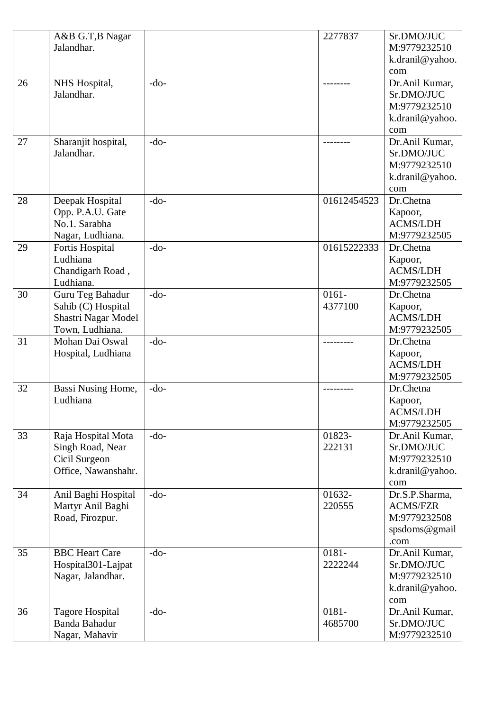|    | A&B G.T, B Nagar<br>Jalandhar.                                                   |        | 2277837             | Sr.DMO/JUC<br>M:9779232510<br>k.dranil@yahoo.<br>com                       |
|----|----------------------------------------------------------------------------------|--------|---------------------|----------------------------------------------------------------------------|
| 26 | NHS Hospital,<br>Jalandhar.                                                      | $-do-$ |                     | Dr.Anil Kumar,<br>Sr.DMO/JUC<br>M:9779232510<br>k.dranil@yahoo.<br>com     |
| 27 | Sharanjit hospital,<br>Jalandhar.                                                | $-do-$ |                     | Dr.Anil Kumar,<br>Sr.DMO/JUC<br>M:9779232510<br>k.dranil@yahoo.<br>com     |
| 28 | Deepak Hospital<br>Opp. P.A.U. Gate<br>No.1. Sarabha<br>Nagar, Ludhiana.         | $-do-$ | 01612454523         | Dr.Chetna<br>Kapoor,<br><b>ACMS/LDH</b><br>M:9779232505                    |
| 29 | Fortis Hospital<br>Ludhiana<br>Chandigarh Road,<br>Ludhiana.                     | $-do-$ | 01615222333         | Dr.Chetna<br>Kapoor,<br><b>ACMS/LDH</b><br>M:9779232505                    |
| 30 | Guru Teg Bahadur<br>Sahib (C) Hospital<br>Shastri Nagar Model<br>Town, Ludhiana. | $-do-$ | $0161 -$<br>4377100 | Dr.Chetna<br>Kapoor,<br><b>ACMS/LDH</b><br>M:9779232505                    |
| 31 | Mohan Dai Oswal<br>Hospital, Ludhiana                                            | $-do-$ |                     | Dr.Chetna<br>Kapoor,<br><b>ACMS/LDH</b><br>M:9779232505                    |
| 32 | Bassi Nusing Home,<br>Ludhiana                                                   | $-do-$ |                     | Dr.Chetna<br>Kapoor,<br><b>ACMS/LDH</b><br>M:9779232505                    |
| 33 | Raja Hospital Mota<br>Singh Road, Near<br>Cicil Surgeon<br>Office, Nawanshahr.   | $-do-$ | 01823-<br>222131    | Dr.Anil Kumar,<br>Sr.DMO/JUC<br>M:9779232510<br>k.dranil@yahoo.<br>com     |
| 34 | Anil Baghi Hospital<br>Martyr Anil Baghi<br>Road, Firozpur.                      | $-do-$ | 01632-<br>220555    | Dr.S.P.Sharma,<br><b>ACMS/FZR</b><br>M:9779232508<br>spsdoms@gmail<br>.com |
| 35 | <b>BBC</b> Heart Care<br>Hospital301-Lajpat<br>Nagar, Jalandhar.                 | $-do-$ | 0181-<br>2222244    | Dr.Anil Kumar,<br>Sr.DMO/JUC<br>M:9779232510<br>k.dranil@yahoo.<br>com     |
| 36 | <b>Tagore Hospital</b><br><b>Banda Bahadur</b><br>Nagar, Mahavir                 | $-do-$ | 0181-<br>4685700    | Dr.Anil Kumar,<br>Sr.DMO/JUC<br>M:9779232510                               |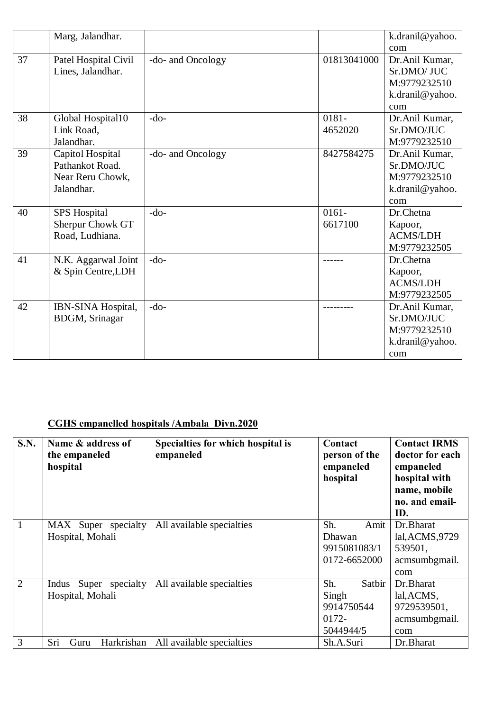|    | Marg, Jalandhar.                                                      |                   |                     | k.dranil@yahoo.                                                         |
|----|-----------------------------------------------------------------------|-------------------|---------------------|-------------------------------------------------------------------------|
|    |                                                                       |                   |                     | com                                                                     |
| 37 | Patel Hospital Civil<br>Lines, Jalandhar.                             | -do- and Oncology | 01813041000         | Dr.Anil Kumar,<br>Sr.DMO/ JUC<br>M:9779232510<br>k.dranil@yahoo.<br>com |
| 38 | Global Hospital10<br>Link Road,<br>Jalandhar.                         | $-do-$            | 0181-<br>4652020    | Dr.Anil Kumar,<br>Sr.DMO/JUC<br>M:9779232510                            |
| 39 | Capitol Hospital<br>Pathankot Road.<br>Near Reru Chowk,<br>Jalandhar. | -do- and Oncology | 8427584275          | Dr.Anil Kumar,<br>Sr.DMO/JUC<br>M:9779232510<br>k.dranil@yahoo.<br>com  |
| 40 | <b>SPS</b> Hospital<br>Sherpur Chowk GT<br>Road, Ludhiana.            | $-do-$            | $0161 -$<br>6617100 | Dr.Chetna<br>Kapoor,<br><b>ACMS/LDH</b><br>M:9779232505                 |
| 41 | N.K. Aggarwal Joint<br>& Spin Centre, LDH                             | $-do-$            |                     | Dr.Chetna<br>Kapoor,<br><b>ACMS/LDH</b><br>M:9779232505                 |
| 42 | <b>IBN-SINA Hospital,</b><br><b>BDGM</b> , Srinagar                   | $-do-$            |                     | Dr.Anil Kumar,<br>Sr.DMO/JUC<br>M:9779232510<br>k.dranil@yahoo.<br>com  |

## **CGHS empanelled hospitals /Ambala Divn.2020**

| S.N.           | Name & address of<br>the empaneled<br>hospital | Specialties for which hospital is<br>empaneled | Contact<br>person of the<br>empaneled<br>hospital          | <b>Contact IRMS</b><br>doctor for each<br>empaneled<br>hospital with<br>name, mobile<br>no. and email-<br>ID. |
|----------------|------------------------------------------------|------------------------------------------------|------------------------------------------------------------|---------------------------------------------------------------------------------------------------------------|
|                | MAX Super specialty<br>Hospital, Mohali        | All available specialties                      | Sh.<br>Amit<br>Dhawan<br>9915081083/1<br>0172-6652000      | Dr.Bharat<br>lal, ACMS, 9729<br>539501,<br>acmsumbgmail.<br>com                                               |
| $\overline{2}$ | Super specialty<br>Indus<br>Hospital, Mohali   | All available specialties                      | Sh.<br>Satbir<br>Singh<br>9914750544<br>0172-<br>5044944/5 | Dr.Bharat<br>lal, ACMS,<br>9729539501,<br>acmsumbgmail.<br>com                                                |
| 3              | Sri<br>Harkrishan<br>Guru                      | All available specialties                      | Sh.A.Suri                                                  | Dr.Bharat                                                                                                     |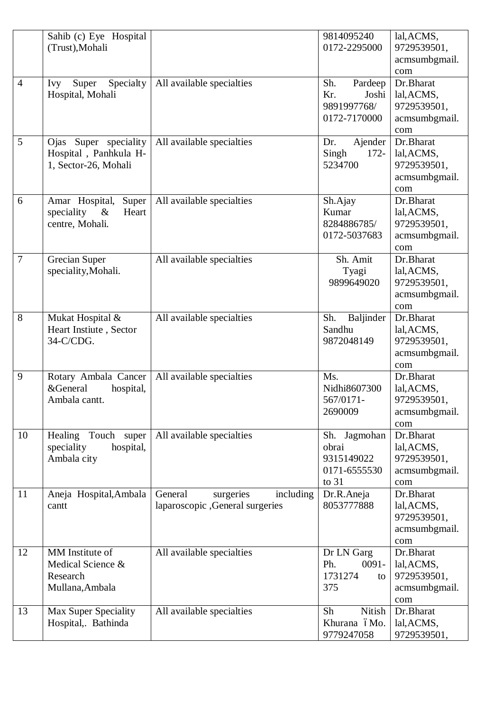|                | Sahib (c) Eye Hospital<br>(Trust), Mohali                                 |                                                                       | 9814095240<br>0172-2295000                                     | lal, ACMS,<br>9729539501,<br>acmsumbgmail.                            |
|----------------|---------------------------------------------------------------------------|-----------------------------------------------------------------------|----------------------------------------------------------------|-----------------------------------------------------------------------|
| $\overline{4}$ | Specialty<br>Super<br>Ivy<br>Hospital, Mohali                             | All available specialties                                             | Sh.<br>Pardeep<br>Kr.<br>Joshi<br>9891997768/<br>0172-7170000  | com<br>Dr.Bharat<br>lal, ACMS,<br>9729539501,<br>acmsumbgmail.<br>com |
| 5              | Ojas Super speciality<br>Hospital, Panhkula H-<br>1, Sector-26, Mohali    | All available specialties                                             | Ajender<br>Dr.<br>Singh<br>$172 -$<br>5234700                  | Dr.Bharat<br>lal, ACMS,<br>9729539501,<br>acmsumbgmail.<br>com        |
| 6              | Amar Hospital,<br>Super<br>speciality<br>$\&$<br>Heart<br>centre, Mohali. | All available specialties                                             | Sh.Ajay<br>Kumar<br>8284886785/<br>0172-5037683                | Dr.Bharat<br>lal, ACMS,<br>9729539501,<br>acmsumbgmail.<br>com        |
| $\overline{7}$ | Grecian Super<br>speciality, Mohali.                                      | All available specialties                                             | Sh. Amit<br>Tyagi<br>9899649020                                | Dr.Bharat<br>lal, ACMS,<br>9729539501,<br>acmsumbgmail.<br>com        |
| 8              | Mukat Hospital &<br>Heart Instiute, Sector<br>34-C/CDG.                   | All available specialties                                             | Sh.<br>Baljinder<br>Sandhu<br>9872048149                       | Dr.Bharat<br>lal, ACMS,<br>9729539501,<br>acmsumbgmail.<br>com        |
| 9              | Rotary Ambala Cancer<br>&General<br>hospital,<br>Ambala cantt.            | All available specialties                                             | Ms.<br>Nidhi8607300<br>567/0171-<br>2690009                    | Dr.Bharat<br>lal, ACMS,<br>9729539501,<br>acmsumbgmail.<br>com        |
| 10             | Healing<br>Touch super<br>hospital,<br>speciality<br>Ambala city          | All available specialties                                             | Sh. Jagmohan<br>obrai<br>9315149022<br>0171-6555530<br>to $31$ | Dr.Bharat<br>lal, ACMS,<br>9729539501,<br>acmsumbgmail.<br>com        |
| 11             | Aneja Hospital, Ambala<br>cantt                                           | General<br>including<br>surgeries<br>laparoscopic , General surgeries | Dr.R.Aneja<br>8053777888                                       | Dr.Bharat<br>lal, ACMS,<br>9729539501,<br>acmsumbgmail.<br>com        |
| 12             | MM Institute of<br>Medical Science &<br>Research<br>Mullana, Ambala       | All available specialties                                             | Dr LN Garg<br>Ph.<br>$0091 -$<br>1731274<br>to<br>375          | Dr.Bharat<br>lal, ACMS,<br>9729539501,<br>acmsumbgmail.<br>com        |
| 13             | <b>Max Super Speciality</b><br>Hospital, Bathinda                         | All available specialties                                             | Nitish<br>Sh<br>Khurana óMo.<br>9779247058                     | Dr.Bharat<br>lal, ACMS,<br>9729539501,                                |